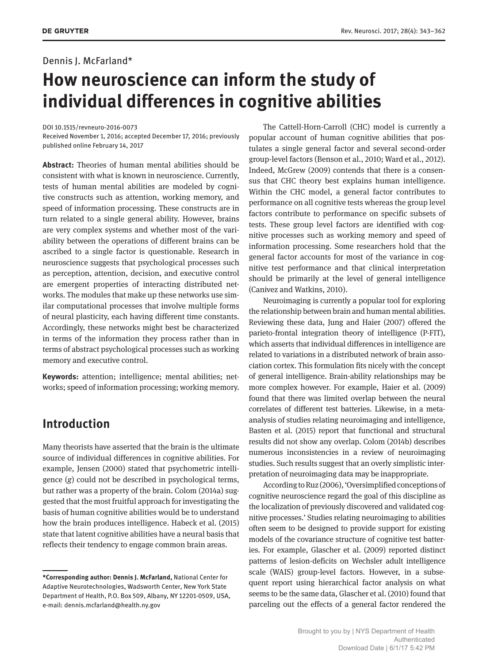#### Dennis J. McFarland\*

# **How neuroscience can inform the study of individual differences in cognitive abilities**

DOI 10.1515/revneuro-2016-0073

Received November 1, 2016; accepted December 17, 2016; previously published online February 14, 2017

**Abstract:** Theories of human mental abilities should be consistent with what is known in neuroscience. Currently, tests of human mental abilities are modeled by cognitive constructs such as attention, working memory, and speed of information processing. These constructs are in turn related to a single general ability. However, brains are very complex systems and whether most of the variability between the operations of different brains can be ascribed to a single factor is questionable. Research in neuroscience suggests that psychological processes such as perception, attention, decision, and executive control are emergent properties of interacting distributed networks. The modules that make up these networks use similar computational processes that involve multiple forms of neural plasticity, each having different time constants. Accordingly, these networks might best be characterized in terms of the information they process rather than in terms of abstract psychological processes such as working memory and executive control.

**Keywords:** attention; intelligence; mental abilities; networks; speed of information processing; working memory.

## **Introduction**

Many theorists have asserted that the brain is the ultimate source of individual differences in cognitive abilities. For example, Jensen (2000) stated that psychometric intelligence (*g*) could not be described in psychological terms, but rather was a property of the brain. Colom (2014a) suggested that the most fruitful approach for investigating the basis of human cognitive abilities would be to understand how the brain produces intelligence. Habeck et al. (2015) state that latent cognitive abilities have a neural basis that reflects their tendency to engage common brain areas.

The Cattell-Horn-Carroll (CHC) model is currently a popular account of human cognitive abilities that postulates a single general factor and several second-order group-level factors (Benson et al., 2010; Ward et al., 2012). Indeed, McGrew (2009) contends that there is a consensus that CHC theory best explains human intelligence. Within the CHC model, a general factor contributes to performance on all cognitive tests whereas the group level factors contribute to performance on specific subsets of tests. These group level factors are identified with cognitive processes such as working memory and speed of information processing. Some researchers hold that the general factor accounts for most of the variance in cognitive test performance and that clinical interpretation should be primarily at the level of general intelligence (Canivez and Watkins, 2010).

Neuroimaging is currently a popular tool for exploring the relationship between brain and human mental abilities. Reviewing these data, Jung and Haier (2007) offered the parieto-frontal integration theory of intelligence (P-FIT), which asserts that individual differences in intelligence are related to variations in a distributed network of brain association cortex. This formulation fits nicely with the concept of general intelligence. Brain-ability relationships may be more complex however. For example, Haier et al. (2009) found that there was limited overlap between the neural correlates of different test batteries. Likewise, in a metaanalysis of studies relating neuroimaging and intelligence, Basten et al. (2015) report that functional and structural results did not show any overlap. Colom (2014b) describes numerous inconsistencies in a review of neuroimaging studies. Such results suggest that an overly simplistic interpretation of neuroimaging data may be inappropriate.

According to Ruz (2006), 'Oversimplified conceptions of cognitive neuroscience regard the goal of this discipline as the localization of previously discovered and validated cognitive processes.' Studies relating neuroimaging to abilities often seem to be designed to provide support for existing models of the covariance structure of cognitive test batteries. For example, Glascher et al. (2009) reported distinct patterns of lesion-deficits on Wechsler adult intelligence scale (WAIS) group-level factors. However, in a subsequent report using hierarchical factor analysis on what seems to be the same data, Glascher et al. (2010) found that parceling out the effects of a general factor rendered the

**<sup>\*</sup>Corresponding author: Dennis J. McFarland,** National Center for Adaptive Neurotechnologies, Wadsworth Center, New York State Department of Health, P.O. Box 509, Albany, NY 12201-0509, USA, e-mail: dennis.mcfarland@health.ny.gov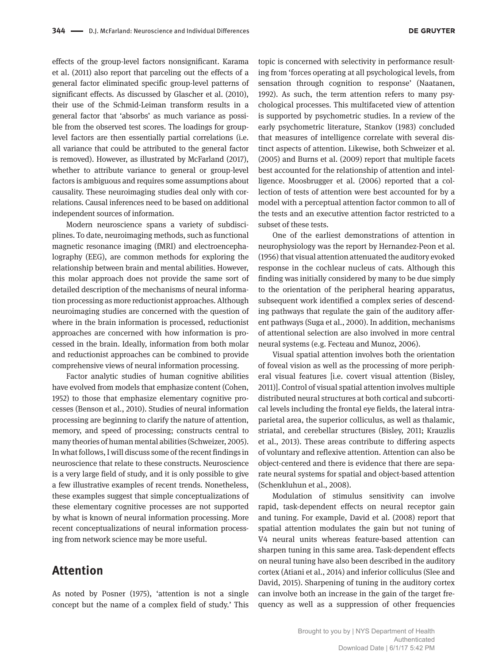effects of the group-level factors nonsignificant. Karama et al. (2011) also report that parceling out the effects of a general factor eliminated specific group-level patterns of significant effects. As discussed by Glascher et al. (2010), their use of the Schmid-Leiman transform results in a general factor that 'absorbs' as much variance as possible from the observed test scores. The loadings for grouplevel factors are then essentially partial correlations (i.e. all variance that could be attributed to the general factor is removed). However, as illustrated by McFarland (2017), whether to attribute variance to general or group-level factors is ambiguous and requires some assumptions about causality. These neuroimaging studies deal only with correlations. Causal inferences need to be based on additional independent sources of information.

Modern neuroscience spans a variety of subdisciplines. To date, neuroimaging methods, such as functional magnetic resonance imaging (fMRI) and electroencephalography (EEG), are common methods for exploring the relationship between brain and mental abilities. However, this molar approach does not provide the same sort of detailed description of the mechanisms of neural information processing as more reductionist approaches. Although neuroimaging studies are concerned with the question of where in the brain information is processed, reductionist approaches are concerned with how information is processed in the brain. Ideally, information from both molar and reductionist approaches can be combined to provide comprehensive views of neural information processing.

Factor analytic studies of human cognitive abilities have evolved from models that emphasize content (Cohen, 1952) to those that emphasize elementary cognitive processes (Benson et al., 2010). Studies of neural information processing are beginning to clarify the nature of attention, memory, and speed of processing; constructs central to many theories of human mental abilities (Schweizer, 2005). In what follows, I will discuss some of the recent findings in neuroscience that relate to these constructs. Neuroscience is a very large field of study, and it is only possible to give a few illustrative examples of recent trends. Nonetheless, these examples suggest that simple conceptualizations of these elementary cognitive processes are not supported by what is known of neural information processing. More recent conceptualizations of neural information processing from network science may be more useful.

# **Attention**

As noted by Posner (1975), 'attention is not a single concept but the name of a complex field of study.' This

topic is concerned with selectivity in performance resulting from 'forces operating at all psychological levels, from sensation through cognition to response' (Naatanen, 1992). As such, the term attention refers to many psychological processes. This multifaceted view of attention is supported by psychometric studies. In a review of the early psychometric literature, Stankov (1983) concluded that measures of intelligence correlate with several distinct aspects of attention. Likewise, both Schweizer et al. (2005) and Burns et al. (2009) report that multiple facets best accounted for the relationship of attention and intelligence. Moosbrugger et al. (2006) reported that a collection of tests of attention were best accounted for by a model with a perceptual attention factor common to all of the tests and an executive attention factor restricted to a subset of these tests.

One of the earliest demonstrations of attention in neurophysiology was the report by Hernandez-Peon et al. (1956) that visual attention attenuated the auditory evoked response in the cochlear nucleus of cats. Although this finding was initially considered by many to be due simply to the orientation of the peripheral hearing apparatus, subsequent work identified a complex series of descending pathways that regulate the gain of the auditory afferent pathways (Suga et al., 2000). In addition, mechanisms of attentional selection are also involved in more central neural systems (e.g. Fecteau and Munoz, 2006).

Visual spatial attention involves both the orientation of foveal vision as well as the processing of more peripheral visual features [i.e. covert visual attention (Bisley, 2011)]. Control of visual spatial attention involves multiple distributed neural structures at both cortical and subcortical levels including the frontal eye fields, the lateral intraparietal area, the superior colliculus, as well as thalamic, striatal, and cerebellar structures (Bisley, 2011; Krauzlis et al., 2013). These areas contribute to differing aspects of voluntary and reflexive attention. Attention can also be object-centered and there is evidence that there are separate neural systems for spatial and object-based attention (Schenkluhun et al., 2008).

Modulation of stimulus sensitivity can involve rapid, task-dependent effects on neural receptor gain and tuning. For example, David et al. (2008) report that spatial attention modulates the gain but not tuning of V4 neural units whereas feature-based attention can sharpen tuning in this same area. Task-dependent effects on neural tuning have also been described in the auditory cortex (Atiani et al., 2014) and inferior colliculus (Slee and David, 2015). Sharpening of tuning in the auditory cortex can involve both an increase in the gain of the target frequency as well as a suppression of other frequencies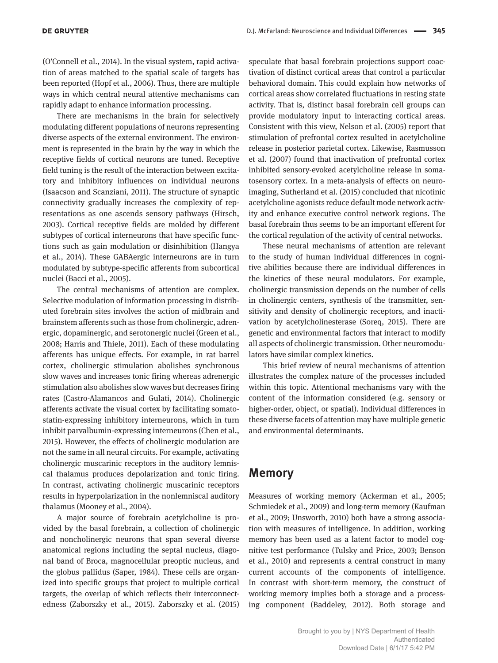(O'Connell et al., 2014). In the visual system, rapid activation of areas matched to the spatial scale of targets has been reported (Hopf et al., 2006). Thus, there are multiple ways in which central neural attentive mechanisms can rapidly adapt to enhance information processing.

There are mechanisms in the brain for selectively modulating different populations of neurons representing diverse aspects of the external environment. The environment is represented in the brain by the way in which the receptive fields of cortical neurons are tuned. Receptive field tuning is the result of the interaction between excitatory and inhibitory influences on individual neurons (Isaacson and Scanziani, 2011). The structure of synaptic connectivity gradually increases the complexity of representations as one ascends sensory pathways (Hirsch, 2003). Cortical receptive fields are molded by different subtypes of cortical interneurons that have specific functions such as gain modulation or disinhibition (Hangya et al., 2014). These GABAergic interneurons are in turn modulated by subtype-specific afferents from subcortical nuclei (Bacci et al., 2005).

The central mechanisms of attention are complex. Selective modulation of information processing in distributed forebrain sites involves the action of midbrain and brainstem afferents such as those from cholinergic, adrenergic, dopaminergic, and serotonergic nuclei (Green et al., 2008; Harris and Thiele, 2011). Each of these modulating afferents has unique effects. For example, in rat barrel cortex, cholinergic stimulation abolishes synchronous slow waves and increases tonic firing whereas adrenergic stimulation also abolishes slow waves but decreases firing rates (Castro-Alamancos and Gulati, 2014). Cholinergic afferents activate the visual cortex by facilitating somatostatin-expressing inhibitory interneurons, which in turn inhibit parvalbumin-expressing interneurons (Chen et al., 2015). However, the effects of cholinergic modulation are not the same in all neural circuits. For example, activating cholinergic muscarinic receptors in the auditory lemniscal thalamus produces depolarization and tonic firing. In contrast, activating cholinergic muscarinic receptors results in hyperpolarization in the nonlemniscal auditory thalamus (Mooney et al., 2004).

A major source of forebrain acetylcholine is provided by the basal forebrain, a collection of cholinergic and noncholinergic neurons that span several diverse anatomical regions including the septal nucleus, diagonal band of Broca, magnocellular preoptic nucleus, and the globus pallidus (Saper, 1984). These cells are organized into specific groups that project to multiple cortical targets, the overlap of which reflects their interconnectedness (Zaborszky et al., 2015). Zaborszky et al. (2015)

speculate that basal forebrain projections support coactivation of distinct cortical areas that control a particular behavioral domain. This could explain how networks of cortical areas show correlated fluctuations in resting state activity. That is, distinct basal forebrain cell groups can provide modulatory input to interacting cortical areas. Consistent with this view, Nelson et al. (2005) report that stimulation of prefrontal cortex resulted in acetylcholine release in posterior parietal cortex. Likewise, Rasmusson et al. (2007) found that inactivation of prefrontal cortex inhibited sensory-evoked acetylcholine release in somatosensory cortex. In a meta-analysis of effects on neuroimaging, Sutherland et al. (2015) concluded that nicotinic acetylcholine agonists reduce default mode network activity and enhance executive control network regions. The basal forebrain thus seems to be an important efferent for the cortical regulation of the activity of central networks.

These neural mechanisms of attention are relevant to the study of human individual differences in cognitive abilities because there are individual differences in the kinetics of these neural modulators. For example, cholinergic transmission depends on the number of cells in cholinergic centers, synthesis of the transmitter, sensitivity and density of cholinergic receptors, and inactivation by acetylcholinesterase (Soreq, 2015). There are genetic and environmental factors that interact to modify all aspects of cholinergic transmission. Other neuromodulators have similar complex kinetics.

This brief review of neural mechanisms of attention illustrates the complex nature of the processes included within this topic. Attentional mechanisms vary with the content of the information considered (e.g. sensory or higher-order, object, or spatial). Individual differences in these diverse facets of attention may have multiple genetic and environmental determinants.

## **Memory**

Measures of working memory (Ackerman et al., 2005; Schmiedek et al., 2009) and long-term memory (Kaufman et al., 2009; Unsworth, 2010) both have a strong association with measures of intelligence. In addition, working memory has been used as a latent factor to model cognitive test performance (Tulsky and Price, 2003; Benson et al., 2010) and represents a central construct in many current accounts of the components of intelligence. In contrast with short-term memory, the construct of working memory implies both a storage and a processing component (Baddeley, 2012). Both storage and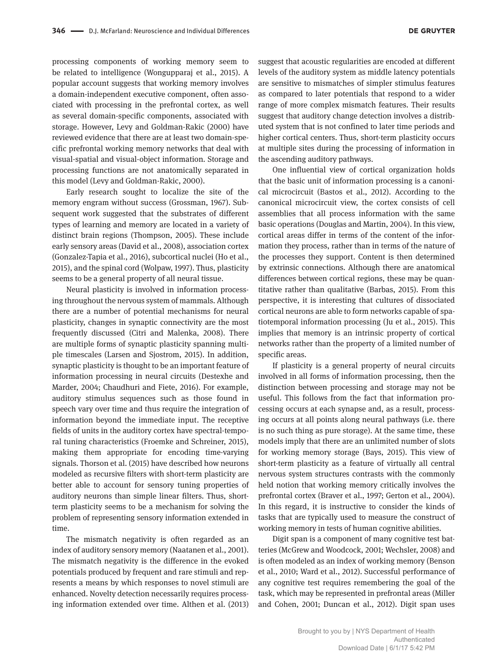processing components of working memory seem to be related to intelligence (Wongupparaj et al., 2015). A popular account suggests that working memory involves a domain-independent executive component, often associated with processing in the prefrontal cortex, as well as several domain-specific components, associated with storage. However, Levy and Goldman-Rakic (2000) have reviewed evidence that there are at least two domain-specific prefrontal working memory networks that deal with visual-spatial and visual-object information. Storage and processing functions are not anatomically separated in this model (Levy and Goldman-Rakic, 2000).

Early research sought to localize the site of the memory engram without success (Grossman, 1967). Subsequent work suggested that the substrates of different types of learning and memory are located in a variety of distinct brain regions (Thompson, 2005). These include early sensory areas (David et al., 2008), association cortex (Gonzalez-Tapia et al., 2016), subcortical nuclei (Ho et al., 2015), and the spinal cord (Wolpaw, 1997). Thus, plasticity seems to be a general property of all neural tissue.

Neural plasticity is involved in information processing throughout the nervous system of mammals. Although there are a number of potential mechanisms for neural plasticity, changes in synaptic connectivity are the most frequently discussed (Citri and Malenka, 2008). There are multiple forms of synaptic plasticity spanning multiple timescales (Larsen and Sjostrom, 2015). In addition, synaptic plasticity is thought to be an important feature of information processing in neural circuits (Destexhe and Marder, 2004; Chaudhuri and Fiete, 2016). For example, auditory stimulus sequences such as those found in speech vary over time and thus require the integration of information beyond the immediate input. The receptive fields of units in the auditory cortex have spectral-temporal tuning characteristics (Froemke and Schreiner, 2015), making them appropriate for encoding time-varying signals. Thorson et al. (2015) have described how neurons modeled as recursive filters with short-term plasticity are better able to account for sensory tuning properties of auditory neurons than simple linear filters. Thus, shortterm plasticity seems to be a mechanism for solving the problem of representing sensory information extended in time.

The mismatch negativity is often regarded as an index of auditory sensory memory (Naatanen et al., 2001). The mismatch negativity is the difference in the evoked potentials produced by frequent and rare stimuli and represents a means by which responses to novel stimuli are enhanced. Novelty detection necessarily requires processing information extended over time. Althen et al. (2013)

suggest that acoustic regularities are encoded at different levels of the auditory system as middle latency potentials are sensitive to mismatches of simpler stimulus features as compared to later potentials that respond to a wider range of more complex mismatch features. Their results suggest that auditory change detection involves a distributed system that is not confined to later time periods and higher cortical centers. Thus, short-term plasticity occurs at multiple sites during the processing of information in the ascending auditory pathways.

One influential view of cortical organization holds that the basic unit of information processing is a canonical microcircuit (Bastos et al., 2012). According to the canonical microcircuit view, the cortex consists of cell assemblies that all process information with the same basic operations (Douglas and Martin, 2004). In this view, cortical areas differ in terms of the content of the information they process, rather than in terms of the nature of the processes they support. Content is then determined by extrinsic connections. Although there are anatomical differences between cortical regions, these may be quantitative rather than qualitative (Barbas, 2015). From this perspective, it is interesting that cultures of dissociated cortical neurons are able to form networks capable of spatiotemporal information processing (Ju et al., 2015). This implies that memory is an intrinsic property of cortical networks rather than the property of a limited number of specific areas.

If plasticity is a general property of neural circuits involved in all forms of information processing, then the distinction between processing and storage may not be useful. This follows from the fact that information processing occurs at each synapse and, as a result, processing occurs at all points along neural pathways (i.e. there is no such thing as pure storage). At the same time, these models imply that there are an unlimited number of slots for working memory storage (Bays, 2015). This view of short-term plasticity as a feature of virtually all central nervous system structures contrasts with the commonly held notion that working memory critically involves the prefrontal cortex (Braver et al., 1997; Gerton et al., 2004). In this regard, it is instructive to consider the kinds of tasks that are typically used to measure the construct of working memory in tests of human cognitive abilities.

Digit span is a component of many cognitive test batteries (McGrew and Woodcock, 2001; Wechsler, 2008) and is often modeled as an index of working memory (Benson et al., 2010; Ward et al., 2012). Successful performance of any cognitive test requires remembering the goal of the task, which may be represented in prefrontal areas (Miller and Cohen, 2001; Duncan et al., 2012). Digit span uses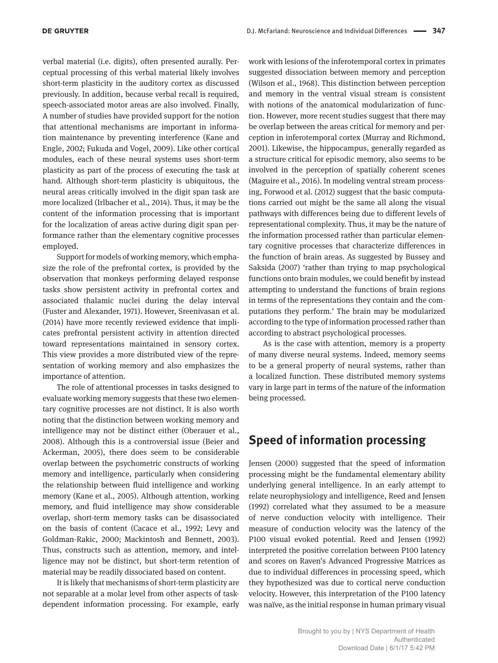verbal material (i.e. digits), often presented aurally. Perceptual processing of this verbal material likely involves short-term plasticity in the auditory cortex as discussed previously. In addition, because verbal recall is required, speech-associated motor areas are also involved. Finally, A number of studies have provided support for the notion that attentional mechanisms are important in information maintenance by preventing interference (Kane and Engle, 2002; Fukuda and Vogel, 2009). Like other cortical modules, each of these neural systems uses short-term plasticity as part of the process of executing the task at hand. Although short-term plasticity is ubiquitous, the neural areas critically involved in the digit span task are more localized (Irlbacher et al., 2014). Thus, it may be the content of the information processing that is important for the localization of areas active during digit span performance rather than the elementary cognitive processes employed.

Support for models of working memory, which emphasize the role of the prefrontal cortex, is provided by the observation that monkeys performing delayed response tasks show persistent activity in prefrontal cortex and associated thalamic nuclei during the delay interval (Fuster and Alexander, 1971). However, Sreenivasan et al. (2014) have more recently reviewed evidence that implicates prefrontal persistent activity in attention directed toward representations maintained in sensory cortex. This view provides a more distributed view of the representation of working memory and also emphasizes the importance of attention.

The role of attentional processes in tasks designed to evaluate working memory suggests that these two elementary cognitive processes are not distinct. It is also worth noting that the distinction between working memory and intelligence may not be distinct either (Oberauer et al., 2008). Although this is a controversial issue (Beier and Ackerman, 2005), there does seem to be considerable overlap between the psychometric constructs of working memory and intelligence, particularly when considering the relationship between fluid intelligence and working memory (Kane et al., 2005). Although attention, working memory, and fluid intelligence may show considerable overlap, short-term memory tasks can be disassociated on the basis of content (Cacace et al., 1992; Levy and Goldman-Rakic, 2000; Mackintosh and Bennett, 2003). Thus, constructs such as attention, memory, and intelligence may not be distinct, but short-term retention of material may be readily dissociated based on content.

It is likely that mechanisms of short-term plasticity are not separable at a molar level from other aspects of taskdependent information processing. For example, early

work with lesions of the inferotemporal cortex in primates suggested dissociation between memory and perception (Wilson et al., 1968). This distinction between perception and memory in the ventral visual stream is consistent with notions of the anatomical modularization of function. However, more recent studies suggest that there may be overlap between the areas critical for memory and perception in inferotemporal cortex (Murray and Richmond, 2001). Likewise, the hippocampus, generally regarded as a structure critical for episodic memory, also seems to be involved in the perception of spatially coherent scenes (Maguire et al., 2016). In modeling ventral stream processing, Forwood et al. (2012) suggest that the basic computations carried out might be the same all along the visual pathways with differences being due to different levels of representational complexity. Thus, it may be the nature of the information processed rather than particular elementary cognitive processes that characterize differences in the function of brain areas. As suggested by Bussey and Saksida (2007) 'rather than trying to map psychological functions onto brain modules, we could benefit by instead attempting to understand the functions of brain regions in terms of the representations they contain and the computations they perform.' The brain may be modularized according to the type of information processed rather than according to abstract psychological processes.

As is the case with attention, memory is a property of many diverse neural systems. Indeed, memory seems to be a general property of neural systems, rather than a localized function. These distributed memory systems vary in large part in terms of the nature of the information being processed.

# **Speed of information processing**

Jensen (2000) suggested that the speed of information processing might be the fundamental elementary ability underlying general intelligence. In an early attempt to relate neurophysiology and intelligence, Reed and Jensen (1992) correlated what they assumed to be a measure of nerve conduction velocity with intelligence. Their measure of conduction velocity was the latency of the P100 visual evoked potential. Reed and Jensen (1992) interpreted the positive correlation between P100 latency and scores on Raven's Advanced Progressive Matrices as due to individual differences in processing speed, which they hypothesized was due to cortical nerve conduction velocity. However, this interpretation of the P100 latency was naïve, as the initial response in human primary visual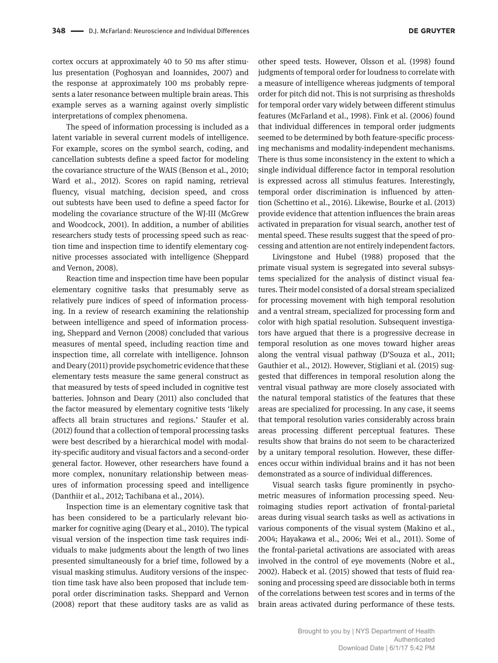cortex occurs at approximately 40 to 50 ms after stimulus presentation (Poghosyan and Ioannides, 2007) and the response at approximately 100 ms probably represents a later resonance between multiple brain areas. This example serves as a warning against overly simplistic interpretations of complex phenomena.

The speed of information processing is included as a latent variable in several current models of intelligence. For example, scores on the symbol search, coding, and cancellation subtests define a speed factor for modeling the covariance structure of the WAIS (Benson et al., 2010; Ward et al., 2012). Scores on rapid naming, retrieval fluency, visual matching, decision speed, and cross out subtests have been used to define a speed factor for modeling the covariance structure of the WJ-III (McGrew and Woodcock, 2001). In addition, a number of abilities researchers study tests of processing speed such as reaction time and inspection time to identify elementary cognitive processes associated with intelligence (Sheppard and Vernon, 2008).

Reaction time and inspection time have been popular elementary cognitive tasks that presumably serve as relatively pure indices of speed of information processing. In a review of research examining the relationship between intelligence and speed of information processing, Sheppard and Vernon (2008) concluded that various measures of mental speed, including reaction time and inspection time, all correlate with intelligence. Johnson and Deary (2011) provide psychometric evidence that these elementary tests measure the same general construct as that measured by tests of speed included in cognitive test batteries. Johnson and Deary (2011) also concluded that the factor measured by elementary cognitive tests 'likely affects all brain structures and regions.' Staufer et al. (2012) found that a collection of temporal processing tasks were best described by a hierarchical model with modality-specific auditory and visual factors and a second-order general factor. However, other researchers have found a more complex, nonunitary relationship between measures of information processing speed and intelligence (Danthiir et al., 2012; Tachibana et al., 2014).

Inspection time is an elementary cognitive task that has been considered to be a particularly relevant biomarker for cognitive aging (Deary et al., 2010). The typical visual version of the inspection time task requires individuals to make judgments about the length of two lines presented simultaneously for a brief time, followed by a visual masking stimulus. Auditory versions of the inspection time task have also been proposed that include temporal order discrimination tasks. Sheppard and Vernon (2008) report that these auditory tasks are as valid as

other speed tests. However, Olsson et al. (1998) found judgments of temporal order for loudness to correlate with a measure of intelligence whereas judgments of temporal order for pitch did not. This is not surprising as thresholds for temporal order vary widely between different stimulus features (McFarland et al., 1998). Fink et al. (2006) found that individual differences in temporal order judgments seemed to be determined by both feature-specific processing mechanisms and modality-independent mechanisms. There is thus some inconsistency in the extent to which a single individual difference factor in temporal resolution is expressed across all stimulus features. Interestingly, temporal order discrimination is influenced by attention (Schettino et al., 2016). Likewise, Bourke et al. (2013) provide evidence that attention influences the brain areas activated in preparation for visual search, another test of mental speed. These results suggest that the speed of processing and attention are not entirely independent factors.

Livingstone and Hubel (1988) proposed that the primate visual system is segregated into several subsystems specialized for the analysis of distinct visual features. Their model consisted of a dorsal stream specialized for processing movement with high temporal resolution and a ventral stream, specialized for processing form and color with high spatial resolution. Subsequent investigators have argued that there is a progressive decrease in temporal resolution as one moves toward higher areas along the ventral visual pathway (D'Souza et al., 2011; Gauthier et al., 2012). However, Stigliani et al. (2015) suggested that differences in temporal resolution along the ventral visual pathway are more closely associated with the natural temporal statistics of the features that these areas are specialized for processing. In any case, it seems that temporal resolution varies considerably across brain areas processing different perceptual features. These results show that brains do not seem to be characterized by a unitary temporal resolution. However, these differences occur within individual brains and it has not been demonstrated as a source of individual differences.

Visual search tasks figure prominently in psychometric measures of information processing speed. Neuroimaging studies report activation of frontal-parietal areas during visual search tasks as well as activations in various components of the visual system (Makino et al., 2004; Hayakawa et al., 2006; Wei et al., 2011). Some of the frontal-parietal activations are associated with areas involved in the control of eye movements (Nobre et al., 2002). Habeck et al. (2015) showed that tests of fluid reasoning and processing speed are dissociable both in terms of the correlations between test scores and in terms of the brain areas activated during performance of these tests.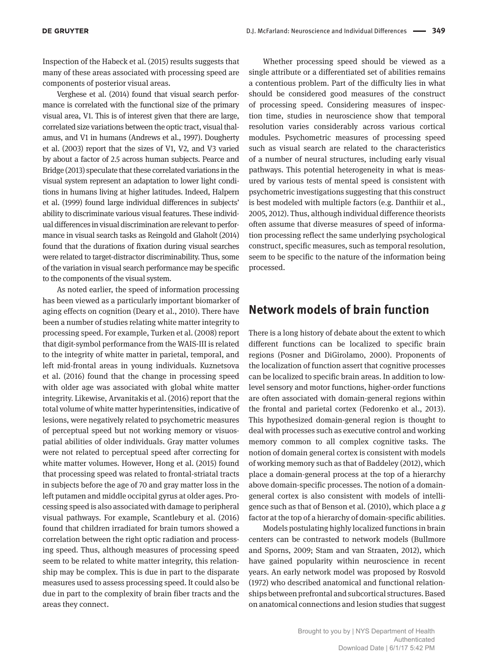Inspection of the Habeck et al. (2015) results suggests that many of these areas associated with processing speed are components of posterior visual areas.

Verghese et al. (2014) found that visual search performance is correlated with the functional size of the primary visual area, V1. This is of interest given that there are large, correlated size variations between the optic tract, visual thalamus, and V1 in humans (Andrews et al., 1997). Dougherty et al. (2003) report that the sizes of V1, V2, and V3 varied by about a factor of 2.5 across human subjects. Pearce and Bridge (2013) speculate that these correlated variations in the visual system represent an adaptation to lower light conditions in humans living at higher latitudes. Indeed, Halpern et al. (1999) found large individual differences in subjects' ability to discriminate various visual features. These individual differences in visual discrimination are relevant to performance in visual search tasks as Reingold and Glaholt (2014) found that the durations of fixation during visual searches were related to target-distractor discriminability. Thus, some of the variation in visual search performance may be specific to the components of the visual system.

As noted earlier, the speed of information processing has been viewed as a particularly important biomarker of aging effects on cognition (Deary et al., 2010). There have been a number of studies relating white matter integrity to processing speed. For example, Turken et al. (2008) report that digit-symbol performance from the WAIS-III is related to the integrity of white matter in parietal, temporal, and left mid-frontal areas in young individuals. Kuznetsova et al. (2016) found that the change in processing speed with older age was associated with global white matter integrity. Likewise, Arvanitakis et al. (2016) report that the total volume of white matter hyperintensities, indicative of lesions, were negatively related to psychometric measures of perceptual speed but not working memory or visuospatial abilities of older individuals. Gray matter volumes were not related to perceptual speed after correcting for white matter volumes. However, Hong et al. (2015) found that processing speed was related to frontal-striatal tracts in subjects before the age of 70 and gray matter loss in the left putamen and middle occipital gyrus at older ages. Processing speed is also associated with damage to peripheral visual pathways. For example, Scantlebury et al. (2016) found that children irradiated for brain tumors showed a correlation between the right optic radiation and processing speed. Thus, although measures of processing speed seem to be related to white matter integrity, this relationship may be complex. This is due in part to the disparate measures used to assess processing speed. It could also be due in part to the complexity of brain fiber tracts and the areas they connect.

Whether processing speed should be viewed as a single attribute or a differentiated set of abilities remains a contentious problem. Part of the difficulty lies in what should be considered good measures of the construct of processing speed. Considering measures of inspection time, studies in neuroscience show that temporal resolution varies considerably across various cortical modules. Psychometric measures of processing speed such as visual search are related to the characteristics of a number of neural structures, including early visual pathways. This potential heterogeneity in what is measured by various tests of mental speed is consistent with psychometric investigations suggesting that this construct is best modeled with multiple factors (e.g. Danthiir et al., 2005, 2012). Thus, although individual difference theorists often assume that diverse measures of speed of information processing reflect the same underlying psychological construct, specific measures, such as temporal resolution, seem to be specific to the nature of the information being processed.

# **Network models of brain function**

There is a long history of debate about the extent to which different functions can be localized to specific brain regions (Posner and DiGirolamo, 2000). Proponents of the localization of function assert that cognitive processes can be localized to specific brain areas. In addition to lowlevel sensory and motor functions, higher-order functions are often associated with domain-general regions within the frontal and parietal cortex (Fedorenko et al., 2013). This hypothesized domain-general region is thought to deal with processes such as executive control and working memory common to all complex cognitive tasks. The notion of domain general cortex is consistent with models of working memory such as that of Baddeley (2012), which place a domain-general process at the top of a hierarchy above domain-specific processes. The notion of a domaingeneral cortex is also consistent with models of intelligence such as that of Benson et al. (2010), which place a *g* factor at the top of a hierarchy of domain-specific abilities.

Models postulating highly localized functions in brain centers can be contrasted to network models (Bullmore and Sporns, 2009; Stam and van Straaten, 2012), which have gained popularity within neuroscience in recent years. An early network model was proposed by Rosvold (1972) who described anatomical and functional relationships between prefrontal and subcortical structures. Based on anatomical connections and lesion studies that suggest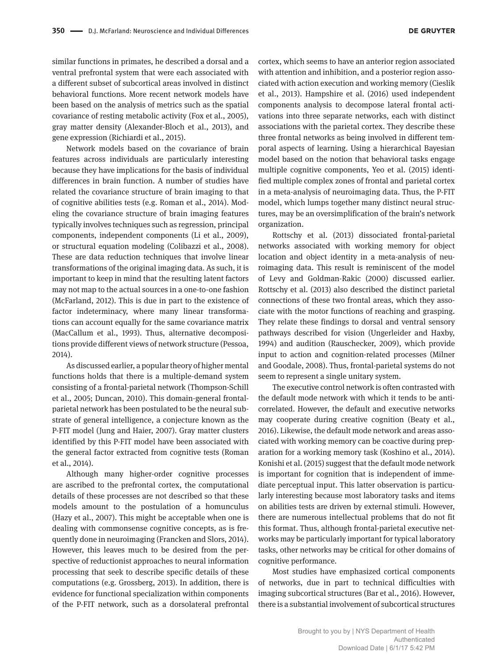similar functions in primates, he described a dorsal and a ventral prefrontal system that were each associated with a different subset of subcortical areas involved in distinct behavioral functions. More recent network models have been based on the analysis of metrics such as the spatial covariance of resting metabolic activity (Fox et al., 2005), gray matter density (Alexander-Bloch et al., 2013), and gene expression (Richiardi et al., 2015).

Network models based on the covariance of brain features across individuals are particularly interesting because they have implications for the basis of individual differences in brain function. A number of studies have related the covariance structure of brain imaging to that of cognitive abilities tests (e.g. Roman et al., 2014). Modeling the covariance structure of brain imaging features typically involves techniques such as regression, principal components, independent components (Li et al., 2009), or structural equation modeling (Colibazzi et al., 2008). These are data reduction techniques that involve linear transformations of the original imaging data. As such, it is important to keep in mind that the resulting latent factors may not map to the actual sources in a one-to-one fashion (McFarland, 2012). This is due in part to the existence of factor indeterminacy, where many linear transformations can account equally for the same covariance matrix (MacCallum et al., 1993). Thus, alternative decompositions provide different views of network structure (Pessoa, 2014).

As discussed earlier, a popular theory of higher mental functions holds that there is a multiple-demand system consisting of a frontal-parietal network (Thompson-Schill et al., 2005; Duncan, 2010). This domain-general frontalparietal network has been postulated to be the neural substrate of general intelligence, a conjecture known as the P-FIT model (Jung and Haier, 2007). Gray matter clusters identified by this P-FIT model have been associated with the general factor extracted from cognitive tests (Roman et al., 2014).

Although many higher-order cognitive processes are ascribed to the prefrontal cortex, the computational details of these processes are not described so that these models amount to the postulation of a homunculus (Hazy et al., 2007). This might be acceptable when one is dealing with commonsense cognitive concepts, as is frequently done in neuroimaging (Francken and Slors, 2014). However, this leaves much to be desired from the perspective of reductionist approaches to neural information processing that seek to describe specific details of these computations (e.g. Grossberg, 2013). In addition, there is evidence for functional specialization within components of the P-FIT network, such as a dorsolateral prefrontal

cortex, which seems to have an anterior region associated with attention and inhibition, and a posterior region associated with action execution and working memory (Cieslik et al., 2013). Hampshire et al. (2016) used independent components analysis to decompose lateral frontal activations into three separate networks, each with distinct associations with the parietal cortex. They describe these three frontal networks as being involved in different temporal aspects of learning. Using a hierarchical Bayesian model based on the notion that behavioral tasks engage multiple cognitive components, Yeo et al. (2015) identified multiple complex zones of frontal and parietal cortex in a meta-analysis of neuroimaging data. Thus, the P-FIT model, which lumps together many distinct neural structures, may be an oversimplification of the brain's network organization.

Rottschy et al. (2013) dissociated frontal-parietal networks associated with working memory for object location and object identity in a meta-analysis of neuroimaging data. This result is reminiscent of the model of Levy and Goldman-Rakic (2000) discussed earlier. Rottschy et al. (2013) also described the distinct parietal connections of these two frontal areas, which they associate with the motor functions of reaching and grasping. They relate these findings to dorsal and ventral sensory pathways described for vision (Ungerleider and Haxby, 1994) and audition (Rauschecker, 2009), which provide input to action and cognition-related processes (Milner and Goodale, 2008). Thus, frontal-parietal systems do not seem to represent a single unitary system.

The executive control network is often contrasted with the default mode network with which it tends to be anticorrelated. However, the default and executive networks may cooperate during creative cognition (Beaty et al., 2016). Likewise, the default mode network and areas associated with working memory can be coactive during preparation for a working memory task (Koshino et al., 2014). Konishi et al. (2015) suggest that the default mode network is important for cognition that is independent of immediate perceptual input. This latter observation is particularly interesting because most laboratory tasks and items on abilities tests are driven by external stimuli. However, there are numerous intellectual problems that do not fit this format. Thus, although frontal-parietal executive networks may be particularly important for typical laboratory tasks, other networks may be critical for other domains of cognitive performance.

Most studies have emphasized cortical components of networks, due in part to technical difficulties with imaging subcortical structures (Bar et al., 2016). However, there is a substantial involvement of subcortical structures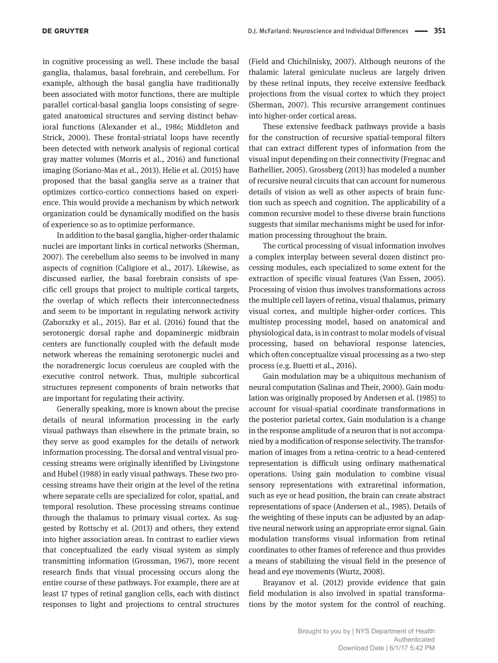in cognitive processing as well. These include the basal ganglia, thalamus, basal forebrain, and cerebellum. For example, although the basal ganglia have traditionally been associated with motor functions, there are multiple parallel cortical-basal ganglia loops consisting of segregated anatomical structures and serving distinct behavioral functions (Alexander et al., 1986; Middleton and Strick, 2000). These frontal-striatal loops have recently been detected with network analysis of regional cortical gray matter volumes (Morris et al., 2016) and functional imaging (Soriano-Mas et al., 2013). Helie et al. (2015) have proposed that the basal ganglia serve as a trainer that optimizes cortico-cortico connections based on experience. This would provide a mechanism by which network organization could be dynamically modified on the basis of experience so as to optimize performance.

In addition to the basal ganglia, higher-order thalamic nuclei are important links in cortical networks (Sherman, 2007). The cerebellum also seems to be involved in many aspects of cognition (Caligiore et al., 2017). Likewise, as discussed earlier, the basal forebrain consists of specific cell groups that project to multiple cortical targets, the overlap of which reflects their interconnectedness and seem to be important in regulating network activity (Zaborszky et al., 2015). Bar et al. (2016) found that the serotonergic dorsal raphe and dopaminergic midbrain centers are functionally coupled with the default mode network whereas the remaining serotonergic nuclei and the noradrenergic locus coeruleus are coupled with the executive control network. Thus, multiple subcortical structures represent components of brain networks that are important for regulating their activity.

Generally speaking, more is known about the precise details of neural information processing in the early visual pathways than elsewhere in the primate brain, so they serve as good examples for the details of network information processing. The dorsal and ventral visual processing streams were originally identified by Livingstone and Hubel (1988) in early visual pathways. These two processing streams have their origin at the level of the retina where separate cells are specialized for color, spatial, and temporal resolution. These processing streams continue through the thalamus to primary visual cortex. As suggested by Rottschy et al. (2013) and others, they extend into higher association areas. In contrast to earlier views that conceptualized the early visual system as simply transmitting information (Grossman, 1967), more recent research finds that visual processing occurs along the entire course of these pathways. For example, there are at least 17 types of retinal ganglion cells, each with distinct responses to light and projections to central structures

(Field and Chichilnisky, 2007). Although neurons of the thalamic lateral geniculate nucleus are largely driven by these retinal inputs, they receive extensive feedback projections from the visual cortex to which they project (Sherman, 2007). This recursive arrangement continues into higher-order cortical areas.

These extensive feedback pathways provide a basis for the construction of recursive spatial-temporal filters that can extract different types of information from the visual input depending on their connectivity (Fregnac and Bathellier, 2005). Grossberg (2013) has modeled a number of recursive neural circuits that can account for numerous details of vision as well as other aspects of brain function such as speech and cognition. The applicability of a common recursive model to these diverse brain functions suggests that similar mechanisms might be used for information processing throughout the brain.

The cortical processing of visual information involves a complex interplay between several dozen distinct processing modules, each specialized to some extent for the extraction of specific visual features (Van Essen, 2005). Processing of vision thus involves transformations across the multiple cell layers of retina, visual thalamus, primary visual cortex, and multiple higher-order cortices. This multistep processing model, based on anatomical and physiological data, is in contrast to molar models of visual processing, based on behavioral response latencies, which often conceptualize visual processing as a two-step process (e.g. Buetti et al., 2016).

Gain modulation may be a ubiquitous mechanism of neural computation (Salinas and Their, 2000). Gain modulation was originally proposed by Andersen et al. (1985) to account for visual-spatial coordinate transformations in the posterior parietal cortex. Gain modulation is a change in the response amplitude of a neuron that is not accompanied by a modification of response selectivity. The transformation of images from a retina-centric to a head-centered representation is difficult using ordinary mathematical operations. Using gain modulation to combine visual sensory representations with extraretinal information, such as eye or head position, the brain can create abstract representations of space (Andersen et al., 1985). Details of the weighting of these inputs can be adjusted by an adaptive neural network using an appropriate error signal. Gain modulation transforms visual information from retinal coordinates to other frames of reference and thus provides a means of stabilizing the visual field in the presence of head and eye movements (Wurtz, 2008).

Brayanov et al. (2012) provide evidence that gain field modulation is also involved in spatial transformations by the motor system for the control of reaching.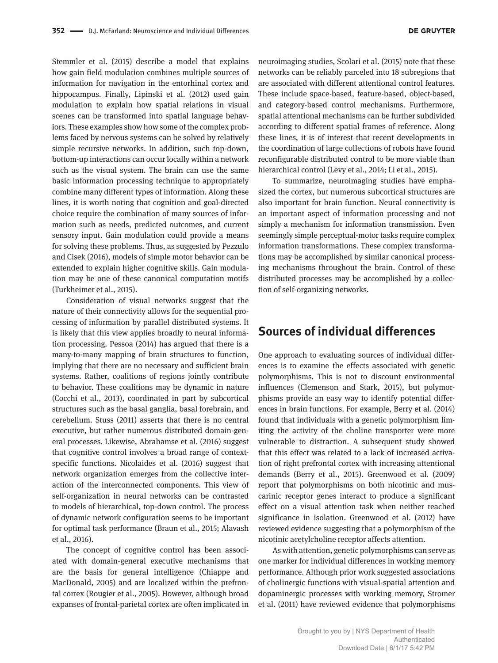Stemmler et al. (2015) describe a model that explains how gain field modulation combines multiple sources of information for navigation in the entorhinal cortex and hippocampus. Finally, Lipinski et al. (2012) used gain modulation to explain how spatial relations in visual scenes can be transformed into spatial language behaviors. These examples show how some of the complex problems faced by nervous systems can be solved by relatively simple recursive networks. In addition, such top-down, bottom-up interactions can occur locally within a network such as the visual system. The brain can use the same basic information processing technique to appropriately combine many different types of information. Along these lines, it is worth noting that cognition and goal-directed choice require the combination of many sources of information such as needs, predicted outcomes, and current sensory input. Gain modulation could provide a means for solving these problems. Thus, as suggested by Pezzulo and Cisek (2016), models of simple motor behavior can be extended to explain higher cognitive skills. Gain modulation may be one of these canonical computation motifs (Turkheimer et al., 2015).

Consideration of visual networks suggest that the nature of their connectivity allows for the sequential processing of information by parallel distributed systems. It is likely that this view applies broadly to neural information processing. Pessoa (2014) has argued that there is a many-to-many mapping of brain structures to function, implying that there are no necessary and sufficient brain systems. Rather, coalitions of regions jointly contribute to behavior. These coalitions may be dynamic in nature (Cocchi et al., 2013), coordinated in part by subcortical structures such as the basal ganglia, basal forebrain, and cerebellum. Stuss (2011) asserts that there is no central executive, but rather numerous distributed domain-general processes. Likewise, Abrahamse et al. (2016) suggest that cognitive control involves a broad range of contextspecific functions. Nicolaides et al. (2016) suggest that network organization emerges from the collective interaction of the interconnected components. This view of self-organization in neural networks can be contrasted to models of hierarchical, top-down control. The process of dynamic network configuration seems to be important for optimal task performance (Braun et al., 2015; Alavash et al., 2016).

The concept of cognitive control has been associated with domain-general executive mechanisms that are the basis for general intelligence (Chiappe and MacDonald, 2005) and are localized within the prefrontal cortex (Rougier et al., 2005). However, although broad expanses of frontal-parietal cortex are often implicated in

neuroimaging studies, Scolari et al. (2015) note that these networks can be reliably parceled into 18 subregions that are associated with different attentional control features. These include space-based, feature-based, object-based, and category-based control mechanisms. Furthermore, spatial attentional mechanisms can be further subdivided according to different spatial frames of reference. Along these lines, it is of interest that recent developments in the coordination of large collections of robots have found reconfigurable distributed control to be more viable than hierarchical control (Levy et al., 2014; Li et al., 2015).

To summarize, neuroimaging studies have emphasized the cortex, but numerous subcortical structures are also important for brain function. Neural connectivity is an important aspect of information processing and not simply a mechanism for information transmission. Even seemingly simple perceptual-motor tasks require complex information transformations. These complex transformations may be accomplished by similar canonical processing mechanisms throughout the brain. Control of these distributed processes may be accomplished by a collection of self-organizing networks.

## **Sources of individual differences**

One approach to evaluating sources of individual differences is to examine the effects associated with genetic polymorphisms. This is not to discount environmental influences (Clemenson and Stark, 2015), but polymorphisms provide an easy way to identify potential differences in brain functions. For example, Berry et al. (2014) found that individuals with a genetic polymorphism limiting the activity of the choline transporter were more vulnerable to distraction. A subsequent study showed that this effect was related to a lack of increased activation of right prefrontal cortex with increasing attentional demands (Berry et al., 2015). Greenwood et al. (2009) report that polymorphisms on both nicotinic and muscarinic receptor genes interact to produce a significant effect on a visual attention task when neither reached significance in isolation. Greenwood et al. (2012) have reviewed evidence suggesting that a polymorphism of the nicotinic acetylcholine receptor affects attention.

As with attention, genetic polymorphisms can serve as one marker for individual differences in working memory performance. Although prior work suggested associations of cholinergic functions with visual-spatial attention and dopaminergic processes with working memory, Stromer et al. (2011) have reviewed evidence that polymorphisms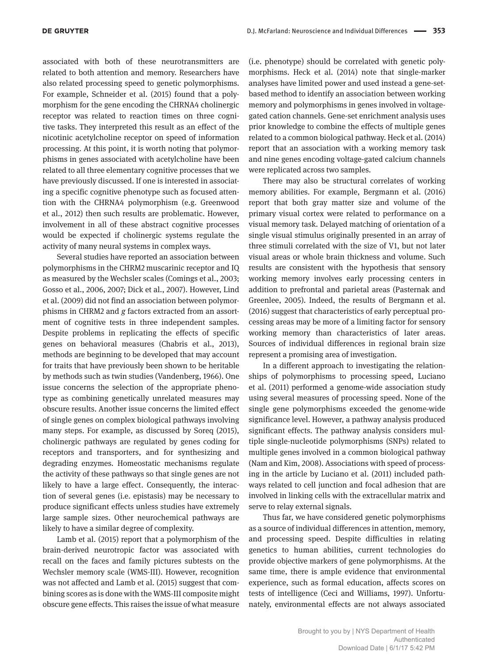associated with both of these neurotransmitters are related to both attention and memory. Researchers have also related processing speed to genetic polymorphisms. For example, Schneider et al. (2015) found that a polymorphism for the gene encoding the CHRNA4 cholinergic receptor was related to reaction times on three cognitive tasks. They interpreted this result as an effect of the nicotinic acetylcholine receptor on speed of information processing. At this point, it is worth noting that polymorphisms in genes associated with acetylcholine have been related to all three elementary cognitive processes that we have previously discussed. If one is interested in associating a specific cognitive phenotype such as focused attention with the CHRNA4 polymorphism (e.g. Greenwood et al., 2012) then such results are problematic. However, involvement in all of these abstract cognitive processes would be expected if cholinergic systems regulate the activity of many neural systems in complex ways.

Several studies have reported an association between polymorphisms in the CHRM2 muscarinic receptor and IQ as measured by the Wechsler scales (Comings et al., 2003; Gosso et al., 2006, 2007; Dick et al., 2007). However, Lind et al. (2009) did not find an association between polymorphisms in CHRM2 and *g* factors extracted from an assortment of cognitive tests in three independent samples. Despite problems in replicating the effects of specific genes on behavioral measures (Chabris et al., 2013), methods are beginning to be developed that may account for traits that have previously been shown to be heritable by methods such as twin studies (Vandenberg, 1966). One issue concerns the selection of the appropriate phenotype as combining genetically unrelated measures may obscure results. Another issue concerns the limited effect of single genes on complex biological pathways involving many steps. For example, as discussed by Soreq (2015), cholinergic pathways are regulated by genes coding for receptors and transporters, and for synthesizing and degrading enzymes. Homeostatic mechanisms regulate the activity of these pathways so that single genes are not likely to have a large effect. Consequently, the interaction of several genes (i.e. epistasis) may be necessary to produce significant effects unless studies have extremely large sample sizes. Other neurochemical pathways are likely to have a similar degree of complexity.

Lamb et al. (2015) report that a polymorphism of the brain-derived neurotropic factor was associated with recall on the faces and family pictures subtests on the Wechsler memory scale (WMS-III). However, recognition was not affected and Lamb et al. (2015) suggest that combining scores as is done with the WMS-III composite might obscure gene effects. This raises the issue of what measure (i.e. phenotype) should be correlated with genetic polymorphisms. Heck et al. (2014) note that single-marker analyses have limited power and used instead a gene-setbased method to identify an association between working memory and polymorphisms in genes involved in voltagegated cation channels. Gene-set enrichment analysis uses prior knowledge to combine the effects of multiple genes related to a common biological pathway. Heck et al. (2014) report that an association with a working memory task and nine genes encoding voltage-gated calcium channels were replicated across two samples.

There may also be structural correlates of working memory abilities. For example, Bergmann et al. (2016) report that both gray matter size and volume of the primary visual cortex were related to performance on a visual memory task. Delayed matching of orientation of a single visual stimulus originally presented in an array of three stimuli correlated with the size of V1, but not later visual areas or whole brain thickness and volume. Such results are consistent with the hypothesis that sensory working memory involves early processing centers in addition to prefrontal and parietal areas (Pasternak and Greenlee, 2005). Indeed, the results of Bergmann et al. (2016) suggest that characteristics of early perceptual processing areas may be more of a limiting factor for sensory working memory than characteristics of later areas. Sources of individual differences in regional brain size represent a promising area of investigation.

In a different approach to investigating the relationships of polymorphisms to processing speed, Luciano et al. (2011) performed a genome-wide association study using several measures of processing speed. None of the single gene polymorphisms exceeded the genome-wide significance level. However, a pathway analysis produced significant effects. The pathway analysis considers multiple single-nucleotide polymorphisms (SNPs) related to multiple genes involved in a common biological pathway (Nam and Kim, 2008). Associations with speed of processing in the article by Luciano et al. (2011) included pathways related to cell junction and focal adhesion that are involved in linking cells with the extracellular matrix and serve to relay external signals.

Thus far, we have considered genetic polymorphisms as a source of individual differences in attention, memory, and processing speed. Despite difficulties in relating genetics to human abilities, current technologies do provide objective markers of gene polymorphisms. At the same time, there is ample evidence that environmental experience, such as formal education, affects scores on tests of intelligence (Ceci and Williams, 1997). Unfortunately, environmental effects are not always associated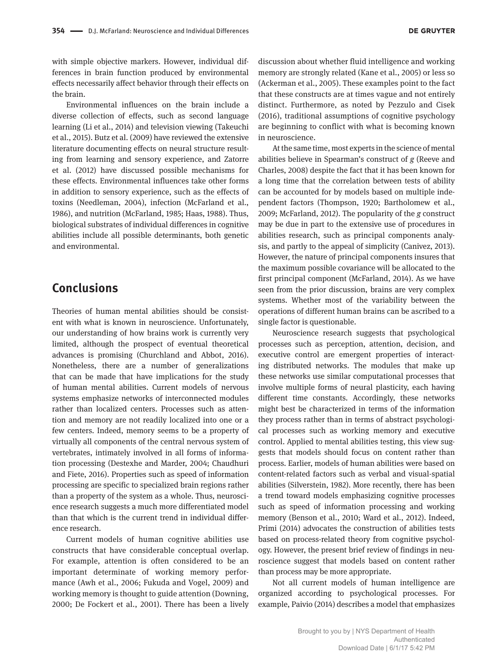with simple objective markers. However, individual differences in brain function produced by environmental effects necessarily affect behavior through their effects on the brain.

Environmental influences on the brain include a diverse collection of effects, such as second language learning (Li et al., 2014) and television viewing (Takeuchi et al., 2015). Butz et al. (2009) have reviewed the extensive literature documenting effects on neural structure resulting from learning and sensory experience, and Zatorre et al. (2012) have discussed possible mechanisms for these effects. Environmental influences take other forms in addition to sensory experience, such as the effects of toxins (Needleman, 2004), infection (McFarland et al., 1986), and nutrition (McFarland, 1985; Haas, 1988). Thus, biological substrates of individual differences in cognitive abilities include all possible determinants, both genetic and environmental.

#### **Conclusions**

Theories of human mental abilities should be consistent with what is known in neuroscience. Unfortunately, our understanding of how brains work is currently very limited, although the prospect of eventual theoretical advances is promising (Churchland and Abbot, 2016). Nonetheless, there are a number of generalizations that can be made that have implications for the study of human mental abilities. Current models of nervous systems emphasize networks of interconnected modules rather than localized centers. Processes such as attention and memory are not readily localized into one or a few centers. Indeed, memory seems to be a property of virtually all components of the central nervous system of vertebrates, intimately involved in all forms of information processing (Destexhe and Marder, 2004; Chaudhuri and Fiete, 2016). Properties such as speed of information processing are specific to specialized brain regions rather than a property of the system as a whole. Thus, neuroscience research suggests a much more differentiated model than that which is the current trend in individual difference research.

Current models of human cognitive abilities use constructs that have considerable conceptual overlap. For example, attention is often considered to be an important determinate of working memory performance (Awh et al., 2006; Fukuda and Vogel, 2009) and working memory is thought to guide attention (Downing, 2000; De Fockert et al., 2001). There has been a lively

discussion about whether fluid intelligence and working memory are strongly related (Kane et al., 2005) or less so (Ackerman et al., 2005). These examples point to the fact that these constructs are at times vague and not entirely distinct. Furthermore, as noted by Pezzulo and Cisek (2016), traditional assumptions of cognitive psychology are beginning to conflict with what is becoming known in neuroscience.

At the same time, most experts in the science of mental abilities believe in Spearman's construct of *g* (Reeve and Charles, 2008) despite the fact that it has been known for a long time that the correlation between tests of ability can be accounted for by models based on multiple independent factors (Thompson, 1920; Bartholomew et al., 2009; McFarland, 2012). The popularity of the *g* construct may be due in part to the extensive use of procedures in abilities research, such as principal components analysis, and partly to the appeal of simplicity (Canivez, 2013). However, the nature of principal components insures that the maximum possible covariance will be allocated to the first principal component (McFarland, 2014). As we have seen from the prior discussion, brains are very complex systems. Whether most of the variability between the operations of different human brains can be ascribed to a single factor is questionable.

Neuroscience research suggests that psychological processes such as perception, attention, decision, and executive control are emergent properties of interacting distributed networks. The modules that make up these networks use similar computational processes that involve multiple forms of neural plasticity, each having different time constants. Accordingly, these networks might best be characterized in terms of the information they process rather than in terms of abstract psychological processes such as working memory and executive control. Applied to mental abilities testing, this view suggests that models should focus on content rather than process. Earlier, models of human abilities were based on content-related factors such as verbal and visual-spatial abilities (Silverstein, 1982). More recently, there has been a trend toward models emphasizing cognitive processes such as speed of information processing and working memory (Benson et al., 2010; Ward et al., 2012). Indeed, Primi (2014) advocates the construction of abilities tests based on process-related theory from cognitive psychology. However, the present brief review of findings in neuroscience suggest that models based on content rather than process may be more appropriate.

Not all current models of human intelligence are organized according to psychological processes. For example, Paivio (2014) describes a model that emphasizes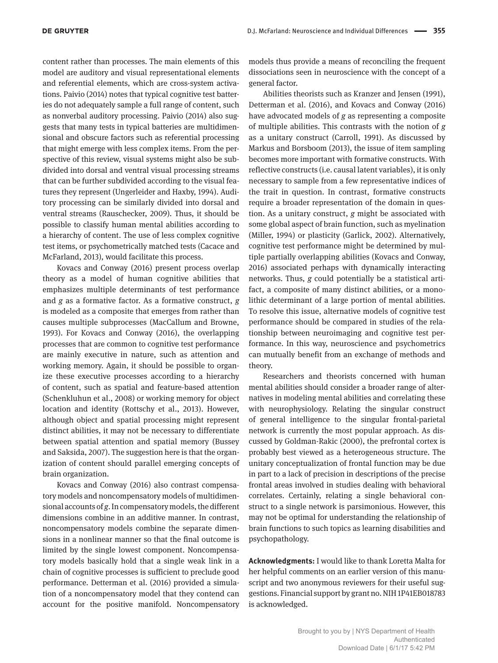content rather than processes. The main elements of this model are auditory and visual representational elements and referential elements, which are cross-system activations. Paivio (2014) notes that typical cognitive test batteries do not adequately sample a full range of content, such as nonverbal auditory processing. Paivio (2014) also suggests that many tests in typical batteries are multidimensional and obscure factors such as referential processing that might emerge with less complex items. From the perspective of this review, visual systems might also be subdivided into dorsal and ventral visual processing streams that can be further subdivided according to the visual features they represent (Ungerleider and Haxby, 1994). Auditory processing can be similarly divided into dorsal and ventral streams (Rauschecker, 2009). Thus, it should be possible to classify human mental abilities according to a hierarchy of content. The use of less complex cognitive test items, or psychometrically matched tests (Cacace and McFarland, 2013), would facilitate this process.

Kovacs and Conway (2016) present process overlap theory as a model of human cognitive abilities that emphasizes multiple determinants of test performance and *g* as a formative factor. As a formative construct, *g* is modeled as a composite that emerges from rather than causes multiple subprocesses (MacCallum and Browne, 1993). For Kovacs and Conway (2016), the overlapping processes that are common to cognitive test performance are mainly executive in nature, such as attention and working memory. Again, it should be possible to organize these executive processes according to a hierarchy of content, such as spatial and feature-based attention (Schenkluhun et al., 2008) or working memory for object location and identity (Rottschy et al., 2013). However, although object and spatial processing might represent distinct abilities, it may not be necessary to differentiate between spatial attention and spatial memory (Bussey and Saksida, 2007). The suggestion here is that the organization of content should parallel emerging concepts of brain organization.

Kovacs and Conway (2016) also contrast compensatory models and noncompensatory models of multidimensional accounts of *g*. In compensatory models, the different dimensions combine in an additive manner. In contrast, noncompensatory models combine the separate dimensions in a nonlinear manner so that the final outcome is limited by the single lowest component. Noncompensatory models basically hold that a single weak link in a chain of cognitive processes is sufficient to preclude good performance. Detterman et al. (2016) provided a simulation of a noncompensatory model that they contend can account for the positive manifold. Noncompensatory

models thus provide a means of reconciling the frequent dissociations seen in neuroscience with the concept of a general factor.

Abilities theorists such as Kranzer and Jensen (1991), Detterman et al. (2016), and Kovacs and Conway (2016) have advocated models of *g* as representing a composite of multiple abilities. This contrasts with the notion of *g* as a unitary construct (Carroll, 1991). As discussed by Markus and Borsboom (2013), the issue of item sampling becomes more important with formative constructs. With reflective constructs (i.e. causal latent variables), it is only necessary to sample from a few representative indices of the trait in question. In contrast, formative constructs require a broader representation of the domain in question. As a unitary construct, *g* might be associated with some global aspect of brain function, such as myelination (Miller, 1994) or plasticity (Garlick, 2002). Alternatively, cognitive test performance might be determined by multiple partially overlapping abilities (Kovacs and Conway, 2016) associated perhaps with dynamically interacting networks. Thus, *g* could potentially be a statistical artifact, a composite of many distinct abilities, or a monolithic determinant of a large portion of mental abilities. To resolve this issue, alternative models of cognitive test performance should be compared in studies of the relationship between neuroimaging and cognitive test performance. In this way, neuroscience and psychometrics can mutually benefit from an exchange of methods and theory.

Researchers and theorists concerned with human mental abilities should consider a broader range of alternatives in modeling mental abilities and correlating these with neurophysiology. Relating the singular construct of general intelligence to the singular frontal-parietal network is currently the most popular approach. As discussed by Goldman-Rakic (2000), the prefrontal cortex is probably best viewed as a heterogeneous structure. The unitary conceptualization of frontal function may be due in part to a lack of precision in descriptions of the precise frontal areas involved in studies dealing with behavioral correlates. Certainly, relating a single behavioral construct to a single network is parsimonious. However, this may not be optimal for understanding the relationship of brain functions to such topics as learning disabilities and psychopathology.

**Acknowledgments:** I would like to thank Loretta Malta for her helpful comments on an earlier version of this manuscript and two anonymous reviewers for their useful suggestions. Financial support by grant no. NIH 1P41EB018783 is acknowledged.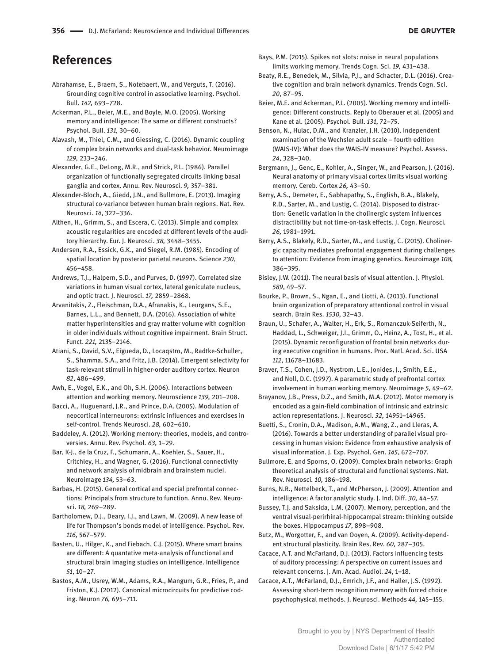# **References**

- Abrahamse, E., Braem, S., Notebaert, W., and Verguts, T. (2016). Grounding cognitive control in associative learning. Psychol. Bull. *142,* 693–728.
- Ackerman, P.L., Beier, M.E., and Boyle, M.O. (2005). Working memory and intelligence: The same or different constructs? Psychol. Bull. *131,* 30–60.
- Alavash, M., Thiel, C.M., and Giessing, C. (2016). Dynamic coupling of complex brain networks and dual-task behavior. Neuroimage *129,* 233–246.
- Alexander, G.E., DeLong, M.R., and Strick, P.L. (1986). Parallel organization of functionally segregated circuits linking basal ganglia and cortex. Annu. Rev. Neurosci. *9,* 357–381.
- Alexander-Bloch, A., Giedd, J.N., and Bullmore, E. (2013). Imaging structural co-variance between human brain regions. Nat. Rev. Neurosci. *14*, 322–336.
- Althen, H., Grimm, S., and Escera, C. (2013). Simple and complex acoustic regularities are encoded at different levels of the auditory hierarchy. Eur. J. Neurosci. *38,* 3448–3455.
- Andersen, R.A., Essick, G.K., and Siegel, R.M. (1985). Encoding of spatial location by posterior parietal neurons. Science *230*, 456–458.
- Andrews, T.J., Halpern, S.D., and Purves, D. (1997). Correlated size variations in human visual cortex, lateral geniculate nucleus, and optic tract. J. Neurosci. *17,* 2859–2868.
- Arvanitakis, Z., Fleischman, D.A., Afranakis, K., Leurgans, S.E., Barnes, L.L., and Bennett, D.A. (2016). Association of white matter hyperintensities and gray matter volume with cognition in older individuals without cognitive impairment. Brain Struct. Funct. *221,* 2135–2146.
- Atiani, S., David, S.V., Eigueda, D., Locaqstro, M., Radtke-Schuller, S., Shamma, S.A., and Fritz, J.B. (2014). Emergent selectivity for task-relevant stimuli in higher-order auditory cortex. Neuron *82*, 486–499.
- Awh, E., Vogel, E.K., and Oh, S.H. (2006). Interactions between attention and working memory. Neuroscience *139,* 201–208.
- Bacci, A., Huguenard, J.R., and Prince, D.A. (2005). Modulation of neocortical interneurons: extrinsic influences and exercises in self-control. Trends Neurosci. *28,* 602–610.
- Baddeley, A. (2012). Working memory: theories, models, and controversies. Annu. Rev. Psychol. *63,* 1–29.
- Bar, K-J., de la Cruz, F., Schumann, A., Koehler, S., Sauer, H., Critchley, H., and Wagner, G. (2016). Functional connectivity and network analysis of midbrain and brainstem nuclei. Neuroimage *134,* 53–63.
- Barbas, H. (2015). General cortical and special prefrontal connections: Principals from structure to function. Annu. Rev. Neurosci. *18,* 269–289.
- Bartholomew, D.J., Deary, I.J., and Lawn, M. (2009). A new lease of life for Thompson's bonds model of intelligence. Psychol. Rev. *116,* 567–579.
- Basten, U., Hilger, K., and Fiebach, C.J. (2015). Where smart brains are different: A quantative meta-analysis of functional and structural brain imaging studies on intelligence. Intelligence *51*, 10–27.
- Bastos, A.M., Usrey, W.M., Adams, R.A., Mangum, G.R., Fries, P., and Friston, K.J. (2012). Canonical microcircuits for predictive coding. Neuron *76,* 695–711.
- Bays, P.M. (2015). Spikes not slots: noise in neural populations limits working memory. Trends Cogn. Sci. *19,* 431–438.
- Beaty, R.E., Benedek, M., Silvia, P.J., and Schacter, D.L. (2016). Creative cognition and brain network dynamics. Trends Cogn. Sci. *20*, 87–95.
- Beier, M.E. and Ackerman, P.L. (2005). Working memory and intelligence: Different constructs. Reply to Oberauer et al. (2005) and Kane et al. (2005). Psychol. Bull. *131*, 72–75.
- Benson, N., Hulac, D.M., and Kranzler, J.H. (2010). Independent examination of the Wechsler adult scale – fourth edition (WAIS-IV): What does the WAIS-IV measure? Psychol. Assess. *24*, 328–340.
- Bergmann, J., Genc, E., Kohler, A., Singer, W., and Pearson, J. (2016). Neural anatomy of primary visual cortex limits visual working memory. Cereb. Cortex *26,* 43–50.
- Berry, A.S., Demeter, E., Sabhapathy, S., English, B.A., Blakely, R.D., Sarter, M., and Lustig, C. (2014). Disposed to distraction: Genetic variation in the cholinergic system influences distractibility but not time-on-task effects. J. Cogn. Neurosci*. 26,* 1981–1991.
- Berry, A.S., Blakely, R.D., Sarter, M., and Lustig, C. (2015). Cholinergic capacity mediates prefrontal engagement during challenges to attention: Evidence from imaging genetics. Neuroimage *108,* 386–395.
- Bisley, J.W. (2011). The neural basis of visual attention. J. Physiol*. 589*, 49–57.
- Bourke, P., Brown, S., Ngan, E., and Liotti, A. (2013). Functional brain organization of preparatory attentional control in visual search. Brain Res*. 1530,* 32–43.
- Braun, U., Schafer, A., Walter, H., Erk, S., Romanczuk-Seiferth, N., Haddad, L., Schweiger, J.I., Grimm, O., Heinz, A., Tost, H., et al. (2015). Dynamic reconfiguration of frontal brain networks during executive cognition in humans. Proc. Natl. Acad. Sci. USA *112*, 11678–11683.
- Braver, T.S., Cohen, J.D., Nystrom, L.E., Jonides, J., Smith, E.E., and Noll, D.C. (1997). A parametric study of prefrontal cortex involvement in human working memory. Neuroimage *5,* 49–62.
- Brayanov, J.B., Press, D.Z., and Smith, M.A. (2012). Motor memory is encoded as a gain-field combination of intrinsic and extrinsic action representations. J. Neurosci*. 32,* 14951–14965.
- Buetti, S., Cronin, D.A., Madison, A.M., Wang, Z., and Lleras, A. (2016). Towards a better understanding of parallel visual processing in human vision: Evidence from exhaustive analysis of visual information. J. Exp. Psychol. Gen. *145*, 672–707.
- Bullmore, E. and Sporns, O. (2009). Complex brain networks: Graph theoretical analysis of structural and functional systems. Nat. Rev. Neurosci*. 10,* 186–198.
- Burns, N.R., Nettelbeck, T., and McPherson, J. (2009). Attention and intelligence: A factor analytic study. J. Ind. Diff. *30,* 44–57.
- Bussey, T.J. and Saksida, L.M. (2007). Memory, perception, and the ventral visual-perirhinal-hippocampal stream: thinking outside the boxes. Hippocampus *17*, 898–908.
- Butz, M., Worgotter, F., and van Ooyen, A. (2009). Activity-dependent structural plasticity. Brain Res. Rev. *60,* 287–305.
- Cacace, A.T. and McFarland, D.J. (2013). Factors influencing tests of auditory processing: A perspective on current issues and relevant concerns. J. Am. Acad. Audiol. *24*, 1–18.
- Cacace, A.T., McFarland, D.J., Emrich, J.F., and Haller, J.S. (1992). Assessing short-term recognition memory with forced choice psychophysical methods. J. Neurosci. Methods *44,* 145–155.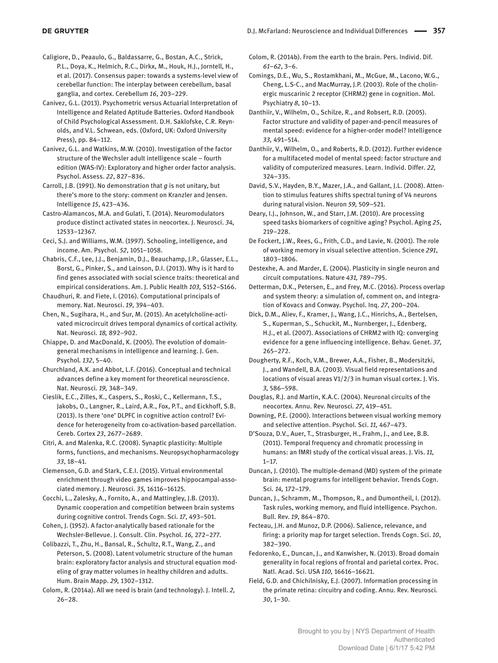Caligiore, D., Peaaulo, G., Baldassarre, G., Bostan, A.C., Strick, P.L., Doya, K., Helmich, R.C., Dirkx, M., Houk, H.J., Jorntell, H., et al. (2017). Consensus paper: towards a systems-level view of cerebellar function: The interplay between cerebellum, basal ganglia, and cortex. Cerebellum *16*, 203–229.

Canivez, G.L. (2013). Psychometric versus Actuarial Interpretation of Intelligence and Related Aptitude Batteries. Oxford Handbook of Child Psychological Assessment. D.H. Saklofske, C.R. Reynolds, and V.L. Schwean, eds. (Oxford, UK: Oxford University Press), pp. 84–112.

Canivez, G.L. and Watkins, M.W. (2010). Investigation of the factor structure of the Wechsler adult intelligence scale – fourth edition (WAS-IV): Exploratory and higher order factor analysis. Psychol. Assess. *22*, 827–836.

Carroll, J.B. (1991). No demonstration that *g* is not unitary, but there's more to the story: comment on Kranzler and Jensen. Intelligence *15*, 423–436.

Castro-Alamancos, M.A. and Gulati, T. (2014). Neuromodulators produce distinct activated states in neocortex. J. Neurosci. *34,* 12533–12367.

Ceci, S.J. and Williams, W.M. (1997). Schooling, intelligence, and income. Am. Psychol. *52*, 1051–1058.

Chabris, C.F., Lee, J.J., Benjamin, D.J., Beauchamp, J.P., Glasser, E.L., Borst, G., Pinker, S., and Lainson, D.I. (2013). Why is it hard to find genes associated with social science traits: theoretical and empirical considerations. Am. J. Public Health *103,* S152–S166.

Chaudhuri, R. and Fiete, I. (2016). Computational principals of memory. Nat. Neurosci. *19*, 394–403.

Chen, N., Sugihara, H., and Sur, M. (2015). An acetylcholine-activated microcircuit drives temporal dynamics of cortical activity. Nat. Neurosci*. 18,* 892–902.

Chiappe, D. and MacDonald, K. (2005). The evolution of domaingeneral mechanisms in intelligence and learning. J. Gen. Psychol*. 132*, 5–40.

Churchland, A.K. and Abbot, L.F. (2016). Conceptual and technical advances define a key moment for theoretical neuroscience. Nat. Neurosci*. 19,* 348–349.

Cieslik, E.C., Zilles, K., Caspers, S., Roski, C., Kellermann, T.S., Jakobs, O., Langner, R., Laird, A.R., Fox, P.T., and Eickhoff, S.B. (2013). Is there 'one' DLPFC in cognitive action control? Evidence for heterogeneity from co-activation-based parcellation. Cereb. Cortex *23*, 2677–2689.

Citri, A. and Malenka, R.C. (2008). Synaptic plasticity: Multiple forms, functions, and mechanisms. Neuropsychopharmacology *33*, 18–41.

Clemenson, G.D. and Stark, C.E.I. (2015). Virtual environmental enrichment through video games improves hippocampal-associated memory. J. Neurosci. *35,* 16116–16125.

Cocchi, L., Zalesky, A., Fornito, A., and Mattingley, J.B. (2013). Dynamic cooperation and competition between brain systems during cognitive control. Trends Cogn. Sci. *17*, 493–501.

Cohen, J. (1952). A factor-analytically based rationale for the Wechsler-Bellevue. J. Consult. Clin. Psychol. *16,* 272–277.

Colibazzi, T., Zhu, H., Bansal, R., Schultz, R.T., Wang, Z., and Peterson, S. (2008). Latent volumetric structure of the human brain: exploratory factor analysis and structural equation modeling of gray matter volumes in healthy children and adults. Hum. Brain Mapp. *29,* 1302–1312.

Colom, R. (2014a). All we need is brain (and technology). J. Intell. *2,* 26–28.

Colom, R. (2014b). From the earth to the brain. Pers. Individ. Dif. *61*–*62*, 3–6.

Comings, D.E., Wu, S., Rostamkhani, M., McGue, M., Lacono, W.G., Cheng, L.S-C., and MacMurray, J.P. (2003). Role of the cholinergic muscarinic 2 receptor (CHRM2) gene in cognition. Mol. Psychiatry *8*, 10–13.

Danthiir, V., Wilhelm, O., Schilze, R., and Robsert, R.D. (2005). Factor structure and validity of paper-and-pencil measures of mental speed: evidence for a higher-order model? Intelligence *33,* 491–514.

Danthiir, V., Wilhelm, O., and Roberts, R.D. (2012). Further evidence for a multifaceted model of mental speed: factor structure and validity of computerized measures. Learn. Individ. Differ. *22,* 324–335.

David, S.V., Hayden, B.Y., Mazer, J.A., and Gallant, J.L. (2008). Attention to stimulus features shifts spectral tuning of V4 neurons during natural vision. Neuron *59,* 509–521.

Deary, I.J., Johnson, W., and Starr, J.M. (2010). Are processing speed tasks biomarkers of cognitive aging? Psychol. Aging *25*, 219–228.

De Fockert, J.W., Rees, G., Frith, C.D., and Lavie, N. (2001). The role of working memory in visual selective attention. Science *291*, 1803–1806.

Destexhe, A. and Marder, E. (2004). Plasticity in single neuron and circuit computations. Nature *431,* 789–795.

Detterman, D.K., Petersen, E., and Frey, M.C. (2016). Process overlap and system theory: a simulation of, comment on, and integration of Kovacs and Conway. Psychol. Inq. *27*, 200–204.

Dick, D.M., Aliev, F., Kramer, J., Wang, J.C., Hinrichs, A., Bertelsen, S., Kuperman, S., Schuckit, M., Nurnberger, J., Edenberg, H.J., et al. (2007). Associations of CHRM2 with IQ: converging evidence for a gene influencing intelligence. Behav. Genet. *37,* 265–272.

Dougherty, R.F., Koch, V.M., Brewer, A.A., Fisher, B., Modersitzki, J., and Wandell, B.A. (2003). Visual field representations and locations of visual areas V1/2/3 in human visual cortex. J. Vis. *3,* 586–598.

Douglas, R.J. and Martin, K.A.C. (2004). Neuronal circuits of the neocortex. Annu. Rev. Neurosci*. 27*, 419–451.

Downing, P.E. (2000). Interactions between visual working memory and selective attention. Psychol. Sci. *11,* 467–473.

D'Souza, D.V., Auer, T., Strasburger, H., Frahm, J., and Lee, B.B. (2011). Temporal frequency and chromatic processing in humans: an fMRI study of the cortical visual areas. J. Vis. *11,* 1–17.

Duncan, J. (2010). The multiple-demand (MD) system of the primate brain: mental programs for intelligent behavior. Trends Cogn. Sci*. 14,* 172–179.

Duncan, J., Schramm, M., Thompson, R., and Dumontheil, I. (2012). Task rules, working memory, and fluid intelligence. Psychon. Bull. Rev. *19*, 864–870.

Fecteau, J.H. and Munoz, D.P. (2006). Salience, relevance, and firing: a priority map for target selection. Trends Cogn. Sci. *10*, 382–390.

Fedorenko, E., Duncan, J., and Kanwisher, N. (2013). Broad domain generality in focal regions of frontal and parietal cortex. Proc. Natl. Acad. Sci. USA *110,* 16616–16621.

Field, G.D. and Chichilnisky, E.J. (2007). Information processing in the primate retina: circuitry and coding. Annu. Rev. Neurosci*. 30*, 1–30.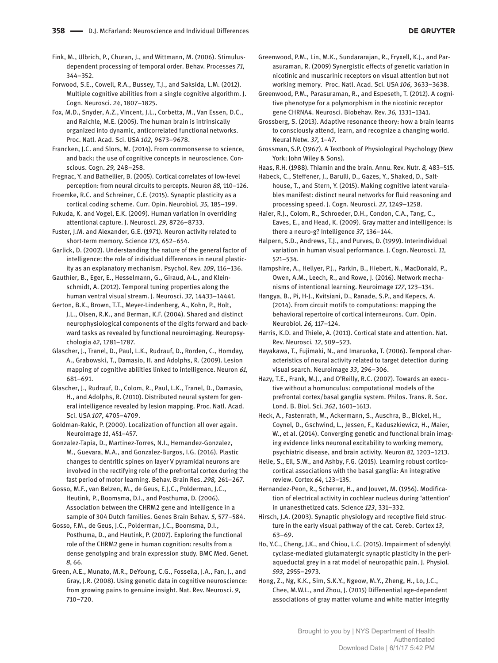- Fink, M., Ulbrich, P., Churan, J., and Wittmann, M. (2006). Stimulusdependent processing of temporal order. Behav. Processes *71,* 344–352.
- Forwood, S.E., Cowell, R.A., Bussey, T.J., and Saksida, L.M. (2012). Multiple cognitive abilities from a single cognitive algorithm. J. Cogn. Neurosci. *24*, 1807–1825.

Fox, M.D., Snyder, A.Z., Vincent, J.L., Corbetta, M., Van Essen, D.C., and Raichle, M.E. (2005). The human brain is intrinsically organized into dynamic, anticorrelated functional networks. Proc. Natl. Acad. Sci. USA *102,* 9673–9678.

Francken, J.C. and Slors, M. (2014). From commonsense to science, and back: the use of cognitive concepts in neuroscience. Conscious. Cogn. *29,* 248–258.

Fregnac, Y. and Bathellier, B. (2005). Cortical correlates of low-level perception: from neural circuits to percepts. Neuron *88,* 110–126.

Froemke, R.C. and Schreiner, C.E. (2015). Synaptic plasticity as a cortical coding scheme. Curr. Opin. Neurobiol*. 35,* 185–199.

Fukuda, K. and Vogel, E.K. (2009). Human variation in overriding attentional capture. J. Neurosci*. 29,* 8726–8733.

Fuster, J.M. and Alexander, G.E. (1971). Neuron activity related to short-term memory. Science *173,* 652–654.

Garlick, D. (2002). Understanding the nature of the general factor of intelligence: the role of individual differences in neural plasticity as an explanatory mechanism. Psychol. Rev. *109*, 116–136.

Gauthier, B., Eger, E., Hesselmann, G., Giraud, A-L., and Kleinschmidt, A. (2012). Temporal tuning properties along the human ventral visual stream. J. Neurosci. *32,* 14433–14441.

Gerton, B.K., Brown, T.T., Meyer-Lindenberg, A., Kohn, P., Holt, J.L., Olsen, R.K., and Berman, K.F. (2004). Shared and distinct neurophysiological components of the digits forward and backward tasks as revealed by functional neuroimaging. Neuropsychologia *42*, 1781–1787.

Glascher, J., Tranel, D., Paul, L.K., Rudrauf, D., Rorden, C., Homday, A., Grabowski, T., Damasio, H. and Adolphs, R. (2009). Lesion mapping of cognitive abilities linked to intelligence. Neuron *61,* 681–691.

Glascher, J., Rudrauf, D., Colom, R., Paul, L.K., Tranel, D., Damasio, H., and Adolphs, R. (2010). Distributed neural system for general intelligence revealed by lesion mapping. Proc. Natl. Acad. Sci. USA *107*, 4705–4709.

Goldman-Rakic, P. (2000). Localization of function all over again. Neuroimage *11*, 451–457.

Gonzalez-Tapia, D., Martinez-Torres, N.I., Hernandez-Gonzalez, M., Guevara, M.A., and Gonzalez-Burgos, I.G. (2016). Plastic changes to dentritic spines on layer V pyramidal neurons are involved in the rectifying role of the prefrontal cortex during the fast period of motor learning. Behav. Brain Res. *298,* 261–267.

Gosso, M.F., van Belzen, M., de Geus, E.J.C., Polderman, J.C., Heutink, P., Boomsma, D.I., and Posthuma, D. (2006). Association between the CHRM2 gene and intelligence in a sample of 304 Dutch families. Genes Brain Behav*. 5,* 577–584.

Gosso, F.M., de Geus, J.C., Polderman, J.C., Boomsma, D.I., Posthuma, D., and Heutink, P. (2007). Exploring the functional role of the CHRM2 gene in human cognition: results from a dense genotyping and brain expression study. BMC Med. Genet*. 8*, 66.

Green, A.E., Munato, M.R., DeYoung, C.G., Fossella, J.A., Fan, J., and Gray, J.R. (2008). Using genetic data in cognitive neuroscience: from growing pains to genuine insight. Nat. Rev. Neurosci. *9*, 710–720.

Greenwood, P.M., Lin, M.K., Sundararajan, R., Fryxell, K.J., and Parasuraman, R. (2009) Synergistic effects of genetic variation in nicotinic and muscarinic receptors on visual attention but not working memory. Proc. Natl. Acad. Sci. USA *106,* 3633–3638.

Greenwood, P.M., Parasuraman, R., and Espeseth, T. (2012). A cognitive phenotype for a polymorphism in the nicotinic receptor gene CHRNA4. Neurosci. Biobehav. Rev. *36,* 1331–1341.

Grossberg, S. (2013). Adaptive resonance theory: how a brain learns to consciously attend, learn, and recognize a changing world. Neural Netw*. 37,* 1–47.

Grossman, S.P. (1967). A Textbook of Physiological Psychology (New York: John Wiley & Sons).

Haas, R.H. (1988). Thiamin and the brain. Annu. Rev. Nutr*. 8,* 483–515.

Habeck, C., Steffener, J., Barulli, D., Gazes, Y., Shaked, D., Salthouse, T., and Stern, Y. (2015). Making cognitive latent varuiables manifest: distinct neural networks for fluid reasoning and processing speed. J. Cogn. Neurosci*. 27,* 1249–1258.

Haier, R.J., Colom, R., Schroeder, D.H., Condon, C.A., Tang, C., Eaves, E., and Head, K. (2009). Gray matter and intelligence: is there a neuro-g? Intelligence *37,* 136–144.

Halpern, S.D., Andrews, T.J., and Purves, D. (1999). Interindividual variation in human visual performance. J. Cogn. Neurosci*. 11,* 521–534.

Hampshire, A., Hellyer, P.J., Parkin, B., Hiebert, N., MacDonald, P., Owen, A.M., Leech, R., and Rowe, J. (2016). Network mechanisms of intentional learning. Neuroimage *127*, 123–134.

Hangya, B., Pi, H-J., Kvitsiani, D., Ranade, S.P., and Kepecs, A. (2014). From circuit motifs to computations: mapping the behavioral repertoire of cortical interneurons. Curr. Opin. Neurobiol*. 26,* 117–124.

Harris, K.D. and Thiele, A. (2011). Cortical state and attention. Nat. Rev. Neurosci*. 12*, 509–523.

Hayakawa, T., Fujimaki, N., and Imaruoka, T. (2006). Temporal characteristics of neural activity related to target detection during visual search. Neuroimage *33*, 296–306.

Hazy, T.E., Frank, M.J., and O'Reilly, R.C. (2007). Towards an executive without a homunculus: computational models of the prefrontal cortex/basal ganglia system. Philos. Trans. R. Soc. Lond. B. Biol. Sci. *362*, 1601–1613.

Heck, A., Fastenrath, M., Ackermann, S., Auschra, B., Bickel, H., Coynel, D., Gschwind, L., Jessen, F., Kaduszkiewicz, H., Maier, W., et al. (2014). Converging genetic and functional brain imaging evidence links neuronal excitability to working memory, psychiatric disease, and brain activity. Neuron *81,* 1203–1213.

Helie, S., Ell, S.W., and Ashby, F.G. (2015). Learning robust corticocortical associations with the basal ganglia: An integrative review. Cortex *64*, 123–135.

Hernandez-Peon, R., Scherrer, H., and Jouvet, M. (1956). Modification of electrical activity in cochlear nucleus during 'attention' in unanesthetized cats. Science *123*, 331–332.

Hirsch, J.A. (2003). Synaptic physiology and receptive field structure in the early visual pathway of the cat. Cereb. Cortex *13*, 63–69.

Ho, Y.C., Cheng, J.K., and Chiou, L.C. (2015). Impairment of sdenylyl cyclase-mediated glutamatergic synaptic plasticity in the periaqueductal grey in a rat model of neuropathic pain. J. Physiol*. 593,* 2955–2973.

Hong, Z., Ng, K.K., Sim, S.K.Y., Ngeow, M.Y., Zheng, H., Lo, J.C., Chee, M.W.L., and Zhou, J. (2015) Diffenential age-dependent associations of gray matter volume and white matter integrity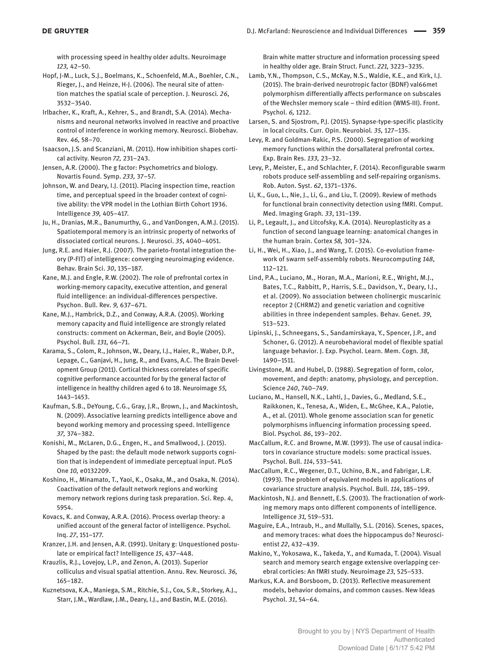with processing speed in healthy older adults. Neuroimage *123,* 42–50.

Hopf, J-M., Luck, S.J., Boelmans, K., Schoenfeld, M.A., Boehler, C.N., Rieger, J., and Heinze, H-J. (2006). The neural site of attention matches the spatial scale of perception. J. Neurosci*. 26*, 3532–3540.

Irlbacher, K., Kraft, A., Kehrer, S., and Brandt, S.A. (2014). Mechanisms and neuronal networks involved in reactive and proactive control of interference in working memory. Neurosci. Biobehav. Rev*. 46,* 58–70.

- Isaacson, J.S. and Scanziani, M. (2011). How inhibition shapes cortical activity. Neuron *72,* 231–243.
- Jensen, A.R. (2000). The g factor: Psychometrics and biology. Novartis Found. Symp. *233,* 37–57.
- Johnson, W. and Deary, I.J. (2011). Placing inspection time, reaction time, and perceptual speed in the broader context of cognitive ability: the VPR model in the Lothian Birth Cohort 1936. Intelligence *39,* 405–417.
- Ju, H., Dranias, M.R., Banumurthy, G., and VanDongen, A.M.J. (2015). Spatiotemporal memory is an intrinsic property of networks of dissociated cortical neurons. J. Neurosci. *35*, 4040–4051.
- Jung, R.E. and Haier, R.J. (2007). The parieto-frontal integration theory (P-FIT) of intelligence: converging neuroimaging evidence. Behav. Brain Sci. *30*, 135–187.
- Kane, M.J. and Engle, R.W. (2002). The role of prefrontal cortex in working-memory capacity, executive attention, and general fluid intelligence: an individual-differences perspective. Psychon. Bull. Rev*. 9,* 637–671.
- Kane, M.J., Hambrick, D.Z., and Conway, A.R.A. (2005). Working memory capacity and fluid intelligence are strongly related constructs: comment on Ackerman, Beir, and Boyle (2005). Psychol. Bull*. 131,* 66–71.
- Karama, S., Colom, R., Johnson, W., Deary, I.J., Haier, R., Waber, D.P., Lepage, C., Ganjavi, H., Jung, R., and Evans, A.C. The Brain Development Group (2011). Cortical thickness correlates of specific cognitive performance accounted for by the general factor of intelligence in healthy children aged 6 to 18. Neuroimage *55,* 1443–1453.
- Kaufman, S.B., DeYoung, C.G., Gray, J.R., Brown, J., and Mackintosh, N. (2009). Associative learning predicts intelligence above and beyond working memory and processing speed. Intelligence *37,* 374–382.
- Konishi, M., McLaren, D.G., Engen, H., and Smallwood, J. (2015). Shaped by the past: the default mode network supports cognition that is independent of immediate perceptual input. PLoS One *10,* e0132209.
- Koshino, H., Minamato, T., Yaoi, K., Osaka, M., and Osaka, N. (2014). Coactivation of the default network regions and working memory network regions during task preparation. Sci. Rep. *4*, 5954.
- Kovacs, K. and Conway, A.R.A. (2016). Process overlap theory: a unified account of the general factor of intelligence. Psychol. Inq. *27*, 151–177.
- Kranzer, J.H. and Jensen, A.R. (1991). Unitary g: Unquestioned postulate or empirical fact? Intelligence *15*, 437–448.
- Krauzlis, R.J., Lovejoy, L.P., and Zenon, A. (2013). Superior colliculus and visual spatial attention. Annu. Rev. Neurosci*. 36,* 165–182.
- Kuznetsova, K.A., Maniega, S.M., Ritchie, S.J., Cox, S.R., Storkey, A.J., Starr, J.M., Wardlaw, J.M., Deary, I.J., and Bastin, M.E. (2016).

Brain white matter structure and information processing speed in healthy older age. Brain Struct. Funct. *221,* 3223–3235.

- Lamb, Y.N., Thompson, C.S., McKay, N.S., Waldie, K.E., and Kirk, I.J. (2015). The brain-derived neurotropic factor (BDNF) val66met polymorphism differentially affects performance on subscales of the Wechsler memory scale – third edition (WMS-III). Front. Psychol. *6,* 1212.
- Larsen, S. and Sjostrom, P.J. (2015). Synapse-type-specific plasticity in local circuits. Curr. Opin. Neurobiol*. 35,* 127–135.
- Levy, R. and Goldman-Rakic, P.S. (2000). Segregation of working memory functions within the dorsallateral prefrontal cortex. Exp. Brain Res. *133,* 23–32.
- Levy, P., Meister, E., and Schlachter, F. (2014). Reconfigurable swarm robots produce self-assembling and self-repairing organisms. Rob. Auton. Syst. *62*, 1371–1376.
- Li, K., Guo, L., Nie, J., Li, G., and Liu, T. (2009). Review of methods for functional brain connectivity detection using fMRI. Comput. Med. Imaging Graph*. 33*, 131–139.
- Li, P., Legault, J., and Litcofsky, K.A. (2014). Neuroplasticity as a function of second language learning: anatomical changes in the human brain. Cortex *58,* 301–324.
- Li, H., Wei, H., Xiao, J., and Wang, T. (2015). Co-evolution framework of swarm self-assembly robots. Neurocomputing *148*, 112–121.
- Lind, P.A., Luciano, M., Horan, M.A., Marioni, R.E., Wright, M.J., Bates, T.C., Rabbitt, P., Harris, S.E., Davidson, Y., Deary, I.J., et al. (2009). No association between cholinergic muscarinic receptor 2 (CHRM2) and genetic variation and cognitive abilities in three independent samples. Behav. Genet*. 39,* 513–523.
- Lipinski, J., Schneegans, S., Sandamirskaya, Y., Spencer, J.P., and Schoner, G. (2012). A neurobehavioral model of flexible spatial language behavior. J. Exp. Psychol. Learn. Mem. Cogn*. 38*, 1490–1511.
- Livingstone, M. and Hubel, D. (1988). Segregation of form, color, movement, and depth: anatomy, physiology, and perception. Science *240*, 740–749.
- Luciano, M., Hansell, N.K., Lahti, J., Davies, G., Medland, S.E., Raikkonen, K., Tenesa, A., Widen, E., McGhee, K.A., Palotie, A., et al. (2011). Whole genome association scan for genetic polymorphisms influencing information processing speed. Biol. Psychol*. 86*, 193–202.
- MacCallum, R.C. and Browne, M.W. (1993). The use of causal indicators in covariance structure models: some practical issues. Psychol. Bull. *114*, 533–541.
- MacCallum, R.C., Wegener, D.T., Uchino, B.N., and Fabrigar, L.R. (1993). The problem of equivalent models in applications of covariance structure analysis. Psychol. Bull. *114*, 185–199.
- Mackintosh, N.J. and Bennett, E.S. (2003). The fractionation of working memory maps onto different components of intelligence. Intelligence *31,* 519–531.
- Maguire, E.A., Intraub, H., and Mullally, S.L. (2016). Scenes, spaces, and memory traces: what does the hippocampus do? Neuroscientist *22*, 432–439.
- Makino, Y., Yokosawa, K., Takeda, Y., and Kumada, T. (2004). Visual search and memory search engage extensive overlapping cerebral corticies: An fMRI study. Neuroimage *23,* 525–533.
- Markus, K.A. and Borsboom, D. (2013). Reflective measurement models, behavior domains, and common causes. New Ideas Psychol. *31*, 54–64.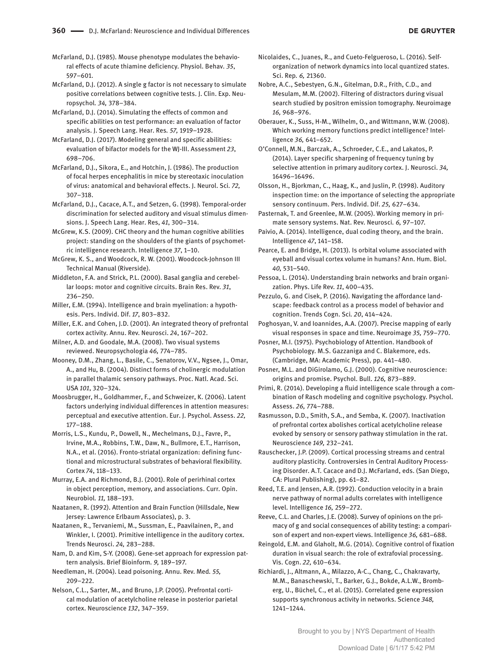McFarland, D.J. (1985). Mouse phenotype modulates the behavioral effects of acute thiamine deficiency. Physiol. Behav*. 35*, 597–601.

McFarland, D.J. (2012). A single g factor is not necessary to simulate positive correlations between cognitive tests. J. Clin. Exp. Neuropsychol*. 34,* 378–384.

McFarland, D.J. (2014). Simulating the effects of common and specific abilities on test performance: an evaluation of factor analysis. J. Speech Lang. Hear. Res*. 57,* 1919–1928.

McFarland, D.J. (2017). Modeling general and specific abilities: evaluation of bifactor models for the WJ-III. Assessment *23*, 698–706.

McFarland, D.J., Sikora, E., and Hotchin, J. (1986). The production of focal herpes encephalitis in mice by stereotaxic inoculation of virus: anatomical and behavioral effects. J. Neurol. Sci*. 72,* 307–318.

McFarland, D.J., Cacace, A.T., and Setzen, G. (1998). Temporal-order discrimination for selected auditory and visual stimulus dimensions. J. Speech Lang. Hear. Res, *41*, 300–314.

McGrew, K.S. (2009). CHC theory and the human cognitive abilities project: standing on the shoulders of the giants of psychometric intelligence research. Intelligence *37*, 1–10.

McGrew, K. S., and Woodcock, R. W. (2001). Woodcock-Johnson III Technical Manual (Riverside).

Middleton, F.A. and Strick, P.L. (2000). Basal ganglia and cerebellar loops: motor and cognitive circuits. Brain Res. Rev. *31*, 236–250.

Miller, E.M. (1994). Intelligence and brain myelination: a hypothesis. Pers. Individ. Dif. *17*, 803–832.

Miller, E.K. and Cohen, J.D. (2001). An integrated theory of prefrontal cortex activity. Annu. Rev. Neurosci. *24*, 167–202.

Milner, A.D. and Goodale, M.A. (2008). Two visual systems reviewed. Neuropsychologia *46,* 774–785.

Mooney, D.M., Zhang, L., Basile, C., Senatorov, V.V., Ngsee, J., Omar, A., and Hu, B. (2004). Distinct forms of cholinergic modulation in parallel thalamic sensory pathways. Proc. Natl. Acad. Sci. USA *101*, 320–324.

Moosbrugger, H., Goldhammer, F., and Schweizer, K. (2006). Latent factors underlying individual differences in attention measures: perceptual and executive attention. Eur. J. Psychol. Assess. *22,* 177–188.

Morris, L.S., Kundu, P., Dowell, N., Mechelmans, D.J., Favre, P., Irvine, M.A., Robbins, T.W., Daw, N., Bullmore, E.T., Harrison, N.A., et al. (2016). Fronto-striatal organization: defining functional and microstructural substrates of behavioral flexibility. Cortex *74*, 118–133.

Murray, E.A. and Richmond, B.J. (2001). Role of perirhinal cortex in object perception, memory, and associations. Curr. Opin. Neurobiol*. 11,* 188–193.

Naatanen, R. (1992). Attention and Brain Function (Hillsdale, New Jersey: Lawrence Erlbaum Associates), p. 3.

Naatanen, R., Tervaniemi, M., Sussman, E., Paavilainen, P., and Winkler, I. (2001). Primitive intelligence in the auditory cortex. Trends Neurosci. *24,* 283–288.

Nam, D. and Kim, S-Y. (2008). Gene-set approach for expression pattern analysis. Brief Bioinform*. 9,* 189–197.

Needleman, H. (2004). Lead poisoning. Annu. Rev. Med*. 55,* 209–222.

Nelson, C.L., Sarter, M., and Bruno, J.P. (2005). Prefrontal cortical modulation of acetylcholine release in posterior parietal cortex. Neuroscience *132*, 347–359.

Nicolaides, C., Juanes, R., and Cueto-Felgueroso, L. (2016). Selforganization of network dynamics into local quantized states. Sci. Rep*. 6,* 21360.

Nobre, A.C., Sebestyen, G.N., Gitelman, D.R., Frith, C.D., and Mesulam, M.M. (2002). Filtering of distractors during visual search studied by positron emission tomography. Neuroimage *16,* 968–976.

Oberauer, K., Suss, H-M., Wilhelm, O., and Wittmann, W.W. (2008). Which working memory functions predict intelligence? Intelligence *36,* 641–652.

O'Connell, M.N., Barczak, A., Schroeder, C.E., and Lakatos, P. (2014). Layer specific sharpening of frequency tuning by selective attention in primary auditory cortex. J. Neurosci. *34,* 16496–16496.

Olsson, H., Bjorkman, C., Haag, K., and Juslin, P. (1998). Auditory inspection time: on the importance of selecting the appropriate sensory continuum. Pers. Individ. Dif. *25,* 627–634.

Pasternak, T. and Greenlee, M.W. (2005). Working memory in primate sensory systems. Nat. Rev. Neurosci*. 6,* 97–107.

Paivio, A. (2014). Intelligence, dual coding theory, and the brain. Intelligence *47*, 141–158.

Pearce, E. and Bridge, H. (2013). Is orbital volume associated with eyeball and visual cortex volume in humans? Ann. Hum. Biol. *40,* 531–540.

Pessoa, L. (2014). Understanding brain networks and brain organization. Phys. Life Rev. *11*, 400–435.

Pezzulo, G. and Cisek, P. (2016). Navigating the affordance landscape: feedback control as a process model of behavior and cognition. Trends Cogn. Sci*. 20*, 414–424.

Poghosyan, V. and Ioannides, A.A. (2007). Precise mapping of early visual responses in space and time. Neuroimage *35,* 759–770.

Posner, M.I. (1975). Psychobiology of Attention. Handbook of Psychobiology. M.S. Gazzaniga and C. Blakemore, eds. (Cambridge, MA: Academic Press), pp. 441–480.

Posner, M.L. and DiGirolamo, G.J. (2000). Cognitive neuroscience: origins and promise. Psychol. Bull. *126,* 873–889.

Primi, R. (2014). Developing a fluid intelligence scale through a combination of Rasch modeling and cognitive psychology. Psychol. Assess. *26,* 774–788.

Rasmusson, D.D., Smith, S.A., and Semba, K. (2007). Inactivation of prefrontal cortex abolishes cortical acetylcholine release evoked by sensory or sensory pathway stimulation in the rat. Neuroscience *149,* 232–241.

Rauschecker, J.P. (2009). Cortical processing streams and central auditory plasticity. Controversies in Central Auditory Processing Disorder. A.T. Cacace and D.J. McFarland, eds. (San Diego, CA: Plural Publishing), pp. 61–82.

Reed, T.E. and Jensen, A.R. (1992). Conduction velocity in a brain nerve pathway of normal adults correlates with intelligence level. Intelligence *16,* 259–272.

Reeve, C.L. and Charles, J.E. (2008). Survey of opinions on the primacy of g and social consequences of ability testing: a comparison of expert and non-expert views. Intelligence *36,* 681–688.

Reingold, E.M. and Glaholt, M.G. (2014). Cognitive control of fixation duration in visual search: the role of extrafovial processing. Vis. Cogn. *22,* 610–634.

Richiardi, J., Altmann, A., Milazzo, A-C., Chang, C., Chakravarty, M.M., Banaschewski, T., Barker, G.J., Bokde, A.L.W., Bromberg, U., Büchel, C., et al. (2015). Correlated gene expression supports synchronous activity in networks. Science *348,* 1241–1244.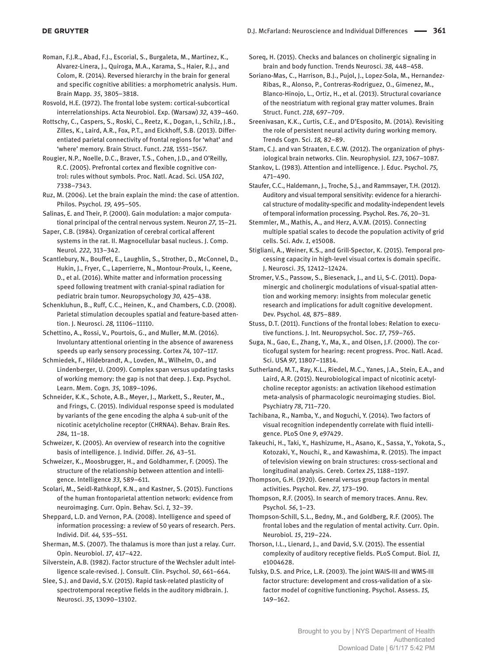Roman, F.J.R., Abad, F.J., Escorial, S., Burgaleta, M., Martinez, K., Alvarez-Linera, J., Quiroga, M.A., Karama, S., Haier, R.J., and Colom, R. (2014). Reversed hierarchy in the brain for general and specific cognitive abilities: a morphometric analysis. Hum. Brain Mapp*. 35*, 3805–3818.

Rosvold, H.E. (1972). The frontal lobe system: cortical-subcortical interrelationships. Acta Neurobiol. Exp. (Warsaw) *32,* 439–460.

Rottschy, C., Caspers, S., Roski, C., Reetz, K., Dogan, I., Schilz, J.B., Zilles, K., Laird, A.R., Fox, P.T., and Eickhoff, S.B. (2013). Differentiated parietal connectivity of frontal regions for 'what' and 'where' memory. Brain Struct. Funct. *218,* 1551–1567.

Rougier, N.P., Noelle, D.C., Braver, T.S., Cohen, J.D., and O'Reilly, R.C. (2005). Prefrontal cortex and flexible cognitive control: rules without symbols. Proc. Natl. Acad. Sci. USA *102*, 7338–7343.

Ruz, M. (2006). Let the brain explain the mind: the case of attention. Philos. Psychol*. 19,* 495–505.

Salinas, E. and Their, P. (2000). Gain modulation: a major computational principal of the central nervous system. Neuron *27,* 15–21.

Saper, C.B. (1984). Organization of cerebral cortical afferent systems in the rat. II. Magnocellular basal nucleus. J. Comp. Neurol*. 222,* 313–342.

Scantlebury, N., Bouffet, E., Laughlin, S., Strother, D., McConnel, D., Hukin, J., Fryer, C., Laperrierre, N., Montour-Proulx, I., Keene, D., et al. (2016). White matter and information processing speed following treatment with cranial-spinal radiation for pediatric brain tumor. Neuropsychology *30,* 425–438.

Schenkluhun, B., Ruff, C.C., Heinen, K., and Chambers, C.D. (2008). Parietal stimulation decouples spatial and feature-based attention. J. Neurosci. *28,* 11106–11110.

Schettino, A., Rossi, V., Pourtois, G., and Muller, M.M. (2016). Involuntary attentional orienting in the absence of awareness speeds up early sensory processing. Cortex *74,* 107–117.

Schmiedek, F., Hildebrandt, A., Lovden, M., Wilhelm, O., and Lindenberger, U. (2009). Complex span versus updating tasks of working memory: the gap is not that deep. J. Exp. Psychol. Learn. Mem. Cogn*. 35,* 1089–1096.

Schneider, K.K., Schote, A.B., Meyer, J., Markett, S., Reuter, M., and Frings, C. (2015). Individual response speed is modulated by variants of the gene encoding the alpha 4 sub-unit of the nicotinic acetylcholine receptor (CHRNA4). Behav. Brain Res*. 284,* 11–18.

Schweizer, K. (2005). An overview of research into the cognitive basis of intelligence. J. Individ. Differ*. 26,* 43–51.

Schweizer, K., Moosbrugger, H., and Goldhammer, F. (2005). The structure of the relationship between attention and intelligence. Intelligence *33,* 589–611.

Scolari, M., Seidl-Rathkopf, K.N., and Kastner, S. (2015). Functions of the human frontoparietal attention network: evidence from neuroimaging. Curr. Opin. Behav. Sci. *1,* 32–39.

Sheppard, L.D. and Vernon, P.A. (2008). Intelligence and speed of information processing: a review of 50 years of research. Pers. Individ. Dif*. 44,* 535–551.

Sherman, M.S. (2007). The thalamus is more than just a relay. Curr. Opin. Neurobiol. *17*, 417–422.

Silverstein, A.B. (1982). Factor structure of the Wechsler adult intelligence scale-revised. J. Consult. Clin. Psychol. *50*, 661–664.

Slee, S.J. and David, S.V. (2015). Rapid task-related plasticity of spectrotemporal receptive fields in the auditory midbrain. J. Neurosci. *35*, 13090–13102.

Soreq, H. (2015). Checks and balances on cholinergic signaling in brain and body function. Trends Neurosci. *38,* 448–458.

Soriano-Mas, C., Harrison, B.J., Pujol, J., Lopez-Sola, M., Hernandez-Ribas, R., Alonso, P., Contreras-Rodriguez, O., Gimenez, M., Blanco-Hinojo, L., Ortiz, H., et al. (2013). Structural covariance of the neostriatum with regional gray matter volumes. Brain Struct. Funct. *218*, 697–709.

Sreenivasan, K.K., Curtis, C.E., and D'Esposito, M. (2014). Revisiting the role of persistent neural activity during working memory. Trends Cogn. Sci. *18,* 82–89.

Stam, C.J. and van Straaten, E.C.W. (2012). The organization of physiological brain networks. Clin. Neurophysiol. *123*, 1067–1087.

Stankov, L. (1983). Attention and intelligence. J. Educ. Psychol. *75,* 471–490.

Staufer, C.C., Haldemann, J., Troche, S.J., and Rammsayer, T.H. (2012). Auditory and visual temporal sensitivity: evidence for a hierarchical structure of modality-specific and modality-independent levels of temporal information processing. Psychol. Res. *76*, 20–31.

Stemmler, M., Mathis, A., and Herz, A.V.M. (2015). Connecting multiple spatial scales to decode the population activity of grid cells. Sci. Adv. *1*, e15008.

Stigliani, A., Weiner, K.S., and Grill-Spector, K. (2015). Temporal processing capacity in high-level visual cortex is domain specific. J. Neurosci. *35,* 12412–12424.

Stromer, V.S., Passow, S., Biesenack, J., and Li, S-C. (2011). Dopaminergic and cholinergic modulations of visual-spatial attention and working memory: insights from molecular genetic research and implications for adult cognitive development. Dev. Psychol*. 48,* 875–889.

Stuss, D.T. (2011). Functions of the frontal lobes: Relation to executive functions. J. Int. Neuropsychol. Soc. *17,* 759–765.

Suga, N., Gao, E., Zhang, Y., Ma, X., and Olsen, J.F. (2000). The corticofugal system for hearing: recent progress. Proc. Natl. Acad. Sci. USA *97,* 11807–11814.

Sutherland, M.T., Ray, K.L., Riedel, M.C., Yanes, J.A., Stein, E.A., and Laird, A.R. (2015). Neurobiological impact of nicotinic acetylcholine receptor agonists: an activation likehood estimation meta-analysis of pharmacologic neuroimaging studies. Biol. Psychiatry *78*, 711–720.

Tachibana, R., Namba, Y., and Noguchi, Y. (2014). Two factors of visual recognition independently correlate with fluid intelligence. PLoS One *9*, e97429.

Takeuchi, H., Taki, Y., Hashizume, H., Asano, K., Sassa, Y., Yokota, S., Kotozaki, Y., Nouchi, R., and Kawashima, R. (2015). The impact of television viewing on brain structures: cross-sectional and longitudinal analysis. Cereb. Cortex *25*, 1188–1197.

Thompson, G.H. (1920). General versus group factors in mental activities. Psychol. Rev*. 27,* 173–190.

Thompson, R.F. (2005). In search of memory traces. Annu. Rev. Psychol*. 56*, 1–23.

Thompson-Schill, S.L., Bedny, M., and Goldberg, R.F. (2005). The frontal lobes and the regulation of mental activity. Curr. Opin. Neurobiol*. 15*, 219–224.

Thorson, I.L., Lienard, J., and David, S.V. (2015). The essential complexity of auditory receptive fields. PLoS Comput. Biol*. 11,* e1004628.

Tulsky, D.S. and Price, L.R. (2003). The joint WAIS-III and WMS-III factor structure: development and cross-validation of a sixfactor model of cognitive functioning. Psychol. Assess. *15,* 149–162.